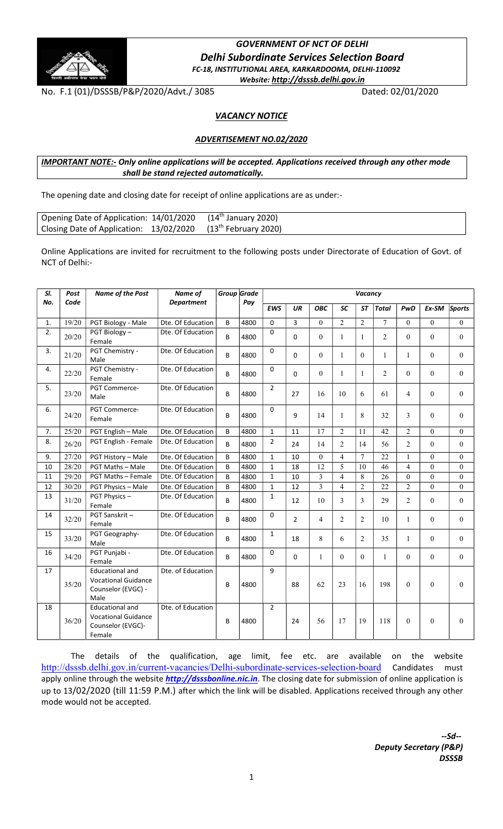

# GOVERNMENT OF NCT OF DELHI Delhi Subordinate Services Selection Board FC-18, INSTITUTIONAL AREA, KARKARDOOMA, DELHI-110092 Website: http://dsssb.delhi.gov.in

No. F.1 (01)/DSSSB/P&P/2020/Advt./ 3085 Dated: 02/01/2020

# **VACANCY NOTICE**

## ADVERTISEMENT NO.02/2020

## IMPORTANT NOTE:- Only online applications will be accepted. Applications received through any other mode shall be stand rejected automatically.

The opening date and closing date for receipt of online applications are as under:-

| Opening Date of Application: 14/01/2020 (14 <sup>th</sup> January 2020)  |  |
|--------------------------------------------------------------------------|--|
| Closing Date of Application: 13/02/2020 (13 <sup>th</sup> February 2020) |  |

Online Applications are invited for recruitment to the following posts under Directorate of Education of Govt. of NCT of Delhi:-

| SI. | Post  | <b>Name of the Post</b>                                                             | Name of           |   | Group Grade | Vacancy        |                |                |                         |                |                |                |              |              |
|-----|-------|-------------------------------------------------------------------------------------|-------------------|---|-------------|----------------|----------------|----------------|-------------------------|----------------|----------------|----------------|--------------|--------------|
| No. | Code  |                                                                                     | <b>Department</b> |   | Pay         | <b>EWS</b>     | UR             | <b>OBC</b>     | <b>SC</b>               | <b>ST</b>      | <b>Total</b>   | PwD            | Ex-SM        | Sports       |
|     |       |                                                                                     | Dte. Of Education |   |             | 0              |                | $\Omega$       | $\overline{2}$          | $\overline{2}$ |                | $\theta$       | $\theta$     | $\theta$     |
| 1.  | 19/20 | PGT Biology - Male                                                                  | Dte. Of Education | B | 4800        |                | 3              |                |                         |                | 7              |                |              |              |
| 2.  | 20/20 | PGT Biology-<br>Female                                                              |                   | B | 4800        | $\Omega$       | $\Omega$       | $\Omega$       | $\mathbf{1}$            | 1              | $\overline{2}$ | $\theta$       | $\theta$     | $\theta$     |
| 3.  | 21/20 | PGT Chemistry -<br>Male                                                             | Dte. Of Education | B | 4800        | $\Omega$       | 0              | $\mathbf{0}$   | $\mathbf{1}$            | $\theta$       | $\mathbf{1}$   | $\mathbf{1}$   | $\mathbf{0}$ | $\theta$     |
| 4.  | 22/20 | PGT Chemistry -<br>Female                                                           | Dte. Of Education | B | 4800        | $\Omega$       | 0              | $\mathbf{0}$   | $\mathbf{1}$            | 1              | $\overline{2}$ | $\theta$       | $\mathbf{0}$ | $\mathbf{0}$ |
| 5.  | 23/20 | PGT Commerce-<br>Male                                                               | Dte. Of Education | B | 4800        | $\overline{2}$ | 27             | 16             | 10                      | 6              | 61             | $\overline{4}$ | $\mathbf{0}$ | $\mathbf{0}$ |
| 6.  | 24/20 | PGT Commerce-<br>Female                                                             | Dte. Of Education | B | 4800        | $\Omega$       | 9              | 14             | $\mathbf{1}$            | 8              | 32             | 3              | $\theta$     | $\Omega$     |
| 7.  | 25/20 | PGT English - Male                                                                  | Dte. Of Education | B | 4800        | $\mathbf{1}$   | 11             | 17             | $\overline{2}$          | 11             | 42             | 2              | $\theta$     | $\theta$     |
| 8.  | 26/20 | PGT English - Female                                                                | Dte. Of Education | B | 4800        | $\overline{2}$ | 24             | 14             | $\overline{2}$          | 14             | 56             | $\overline{2}$ | $\theta$     | $\theta$     |
| 9.  | 27/20 | PGT History - Male                                                                  | Dte. Of Education | B | 4800        | $\mathbf{1}$   | 10             | $\Omega$       | $\overline{4}$          | 7              | 22             | $\mathbf{1}$   | $\Omega$     | $\theta$     |
| 10  | 28/20 | <b>PGT Maths - Male</b>                                                             | Dte. Of Education | B | 4800        | $\mathbf{1}$   | 18             | 12             | 5                       | 10             | 46             | $\overline{4}$ | $\Omega$     | $\theta$     |
| 11  | 29/20 | <b>PGT Maths - Female</b>                                                           | Dte. Of Education | B | 4800        | $\mathbf{1}$   | 10             | 3              | $\overline{\mathbf{4}}$ | 8              | 26             | $\theta$       | $\theta$     | $\theta$     |
| 12  | 30/20 | PGT Physics - Male                                                                  | Dte. Of Education | B | 4800        | $\mathbf{1}$   | 12             | 3              | $\overline{4}$          | $\overline{2}$ | 22             | $\overline{2}$ | $\theta$     | $\Omega$     |
| 13  | 31/20 | PGT Physics-<br>Female                                                              | Dte. Of Education | B | 4800        | $\mathbf 1$    | 12             | 10             | 3                       | 3              | 29             | $\overline{2}$ | $\theta$     | $\theta$     |
| 14  | 32/20 | PGT Sanskrit-<br>Female                                                             | Dte. Of Education | B | 4800        | 0              | $\overline{2}$ | $\overline{4}$ | $\overline{2}$          | $\overline{2}$ | 10             | $\mathbf{1}$   | $\theta$     | $\Omega$     |
| 15  | 33/20 | PGT Geography-<br>Male                                                              | Dte. Of Education | B | 4800        | $\mathbf{1}$   | 18             | 8              | 6                       | $\overline{2}$ | 35             | $\mathbf{1}$   | $\theta$     | $\theta$     |
| 16  | 34/20 | PGT Punjabi -<br>Female                                                             | Dte. Of Education | B | 4800        | 0              | $\Omega$       | $\mathbf{1}$   | $\Omega$                | $\Omega$       | $\mathbf{1}$   | $\Omega$       | $\theta$     | $\Omega$     |
| 17  | 35/20 | <b>Educational and</b><br><b>Vocational Guidance</b><br>Counselor (EVGC) -<br>Male  | Dte. of Education | B | 4800        | 9              | 88             | 62             | 23                      | 16             | 198            | $\theta$       | $\mathbf{0}$ | $\theta$     |
| 18  | 36/20 | <b>Educational and</b><br><b>Vocational Guidance</b><br>Counselor (EVGC)-<br>Female | Dte. of Education | B | 4800        | $\overline{2}$ | 24             | 56             | 17                      | 19             | 118            | $\theta$       | $\theta$     | $\Omega$     |

The details of the qualification, age limit, fee etc. are available on the website http://dsssb.delhi.gov.in/current-vacancies/Delhi-subordinate-services-selection-board Candidates must apply online through the website *http://dsssbonline.nic.in*. The closing date for submission of online application is up to 13/02/2020 (till 11:59 P.M.) after which the link will be disabled. Applications received through any other mode would not be accepted.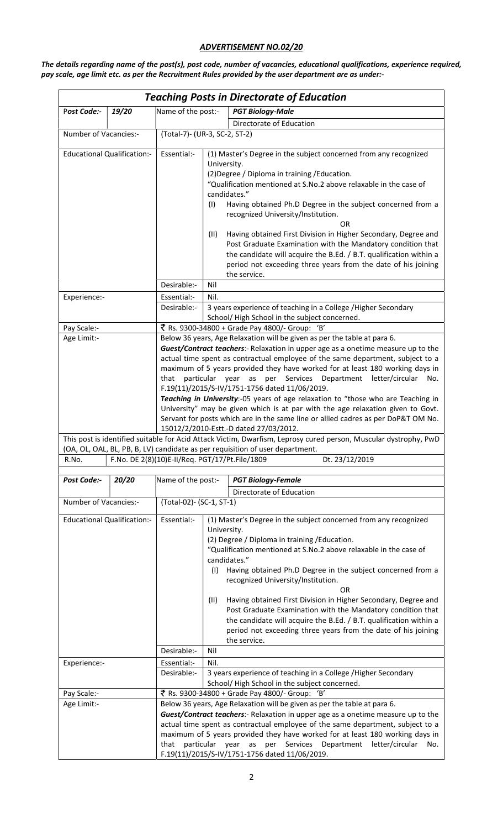# ADVERTISEMENT NO.02/20

The details regarding name of the post(s), post code, number of vacancies, educational qualifications, experience required, pay scale, age limit etc. as per the Recruitment Rules provided by the user department are as under:-

| <b>Teaching Posts in Directorate of Education</b> |                                    |                                                                                                                                                                                                                                                                                                                                                                                                                                                                                                                                                                                                                                                                                                                                     |                                                                                                                                                                                                                                                                                                                                                                                                                                                                                                                                                                                                                                             |  |  |  |
|---------------------------------------------------|------------------------------------|-------------------------------------------------------------------------------------------------------------------------------------------------------------------------------------------------------------------------------------------------------------------------------------------------------------------------------------------------------------------------------------------------------------------------------------------------------------------------------------------------------------------------------------------------------------------------------------------------------------------------------------------------------------------------------------------------------------------------------------|---------------------------------------------------------------------------------------------------------------------------------------------------------------------------------------------------------------------------------------------------------------------------------------------------------------------------------------------------------------------------------------------------------------------------------------------------------------------------------------------------------------------------------------------------------------------------------------------------------------------------------------------|--|--|--|
| Post Code:-                                       | 19/20                              | Name of the post:-                                                                                                                                                                                                                                                                                                                                                                                                                                                                                                                                                                                                                                                                                                                  | <b>PGT Biology-Male</b>                                                                                                                                                                                                                                                                                                                                                                                                                                                                                                                                                                                                                     |  |  |  |
|                                                   |                                    |                                                                                                                                                                                                                                                                                                                                                                                                                                                                                                                                                                                                                                                                                                                                     | Directorate of Education                                                                                                                                                                                                                                                                                                                                                                                                                                                                                                                                                                                                                    |  |  |  |
| Number of Vacancies:-                             |                                    |                                                                                                                                                                                                                                                                                                                                                                                                                                                                                                                                                                                                                                                                                                                                     | (Total-7)- (UR-3, SC-2, ST-2)                                                                                                                                                                                                                                                                                                                                                                                                                                                                                                                                                                                                               |  |  |  |
|                                                   | <b>Educational Qualification:-</b> | Essential:-                                                                                                                                                                                                                                                                                                                                                                                                                                                                                                                                                                                                                                                                                                                         | (1) Master's Degree in the subject concerned from any recognized<br>University.<br>(2) Degree / Diploma in training / Education.<br>"Qualification mentioned at S.No.2 above relaxable in the case of<br>candidates."<br>Having obtained Ph.D Degree in the subject concerned from a<br>(1)<br>recognized University/Institution.<br>OR.<br>(11)<br>Having obtained First Division in Higher Secondary, Degree and<br>Post Graduate Examination with the Mandatory condition that<br>the candidate will acquire the B.Ed. / B.T. qualification within a<br>period not exceeding three years from the date of his joining<br>the service.    |  |  |  |
|                                                   |                                    | Desirable:-                                                                                                                                                                                                                                                                                                                                                                                                                                                                                                                                                                                                                                                                                                                         | Nil                                                                                                                                                                                                                                                                                                                                                                                                                                                                                                                                                                                                                                         |  |  |  |
| Experience:-                                      |                                    | Essential:-<br>Desirable:-                                                                                                                                                                                                                                                                                                                                                                                                                                                                                                                                                                                                                                                                                                          | Nil.<br>3 years experience of teaching in a College /Higher Secondary<br>School/High School in the subject concerned.                                                                                                                                                                                                                                                                                                                                                                                                                                                                                                                       |  |  |  |
| Pay Scale:-                                       |                                    |                                                                                                                                                                                                                                                                                                                                                                                                                                                                                                                                                                                                                                                                                                                                     | ₹ Rs. 9300-34800 + Grade Pay 4800/- Group: 'B'                                                                                                                                                                                                                                                                                                                                                                                                                                                                                                                                                                                              |  |  |  |
| Age Limit:-                                       |                                    | Below 36 years, Age Relaxation will be given as per the table at para 6.<br>Guest/Contract teachers:- Relaxation in upper age as a onetime measure up to the<br>actual time spent as contractual employee of the same department, subject to a<br>maximum of 5 years provided they have worked for at least 180 working days in<br>letter/circular<br>particular year<br>as per<br>Services Department<br>that<br>No.<br>F.19(11)/2015/S-IV/1751-1756 dated 11/06/2019.<br>Teaching in University:-05 years of age relaxation to "those who are Teaching in<br>University" may be given which is at par with the age relaxation given to Govt.<br>Servant for posts which are in the same line or allied cadres as per DoP&T OM No. |                                                                                                                                                                                                                                                                                                                                                                                                                                                                                                                                                                                                                                             |  |  |  |
|                                                   |                                    |                                                                                                                                                                                                                                                                                                                                                                                                                                                                                                                                                                                                                                                                                                                                     | 15012/2/2010-Estt.-D dated 27/03/2012.<br>This post is identified suitable for Acid Attack Victim, Dwarfism, Leprosy cured person, Muscular dystrophy, PwD                                                                                                                                                                                                                                                                                                                                                                                                                                                                                  |  |  |  |
|                                                   |                                    |                                                                                                                                                                                                                                                                                                                                                                                                                                                                                                                                                                                                                                                                                                                                     | (OA, OL, OAL, BL, PB, B, LV) candidate as per requisition of user department.                                                                                                                                                                                                                                                                                                                                                                                                                                                                                                                                                               |  |  |  |
| R.No.                                             |                                    |                                                                                                                                                                                                                                                                                                                                                                                                                                                                                                                                                                                                                                                                                                                                     | F.No. DE 2(8)(10)E-II/Req. PGT/17/Pt.File/1809<br>Dt. 23/12/2019                                                                                                                                                                                                                                                                                                                                                                                                                                                                                                                                                                            |  |  |  |
| Post Code:-                                       | 20/20                              | Name of the post:-                                                                                                                                                                                                                                                                                                                                                                                                                                                                                                                                                                                                                                                                                                                  | <b>PGT Biology-Female</b>                                                                                                                                                                                                                                                                                                                                                                                                                                                                                                                                                                                                                   |  |  |  |
|                                                   |                                    |                                                                                                                                                                                                                                                                                                                                                                                                                                                                                                                                                                                                                                                                                                                                     | Directorate of Education                                                                                                                                                                                                                                                                                                                                                                                                                                                                                                                                                                                                                    |  |  |  |
| Number of Vacancies:-                             |                                    | (Total-02)- (SC-1, ST-1)                                                                                                                                                                                                                                                                                                                                                                                                                                                                                                                                                                                                                                                                                                            |                                                                                                                                                                                                                                                                                                                                                                                                                                                                                                                                                                                                                                             |  |  |  |
| <b>Educational Qualification:-</b>                |                                    | Essential:-<br>Desirable:-                                                                                                                                                                                                                                                                                                                                                                                                                                                                                                                                                                                                                                                                                                          | (1) Master's Degree in the subject concerned from any recognized<br>University.<br>(2) Degree / Diploma in training / Education.<br>"Qualification mentioned at S.No.2 above relaxable in the case of<br>candidates."<br>(I) Having obtained Ph.D Degree in the subject concerned from a<br>recognized University/Institution.<br>OR<br>Having obtained First Division in Higher Secondary, Degree and<br>(II)<br>Post Graduate Examination with the Mandatory condition that<br>the candidate will acquire the B.Ed. / B.T. qualification within a<br>period not exceeding three years from the date of his joining<br>the service.<br>Nil |  |  |  |
| Experience:-                                      |                                    | Essential:-                                                                                                                                                                                                                                                                                                                                                                                                                                                                                                                                                                                                                                                                                                                         | Nil.                                                                                                                                                                                                                                                                                                                                                                                                                                                                                                                                                                                                                                        |  |  |  |
|                                                   |                                    | Desirable:-                                                                                                                                                                                                                                                                                                                                                                                                                                                                                                                                                                                                                                                                                                                         | 3 years experience of teaching in a College /Higher Secondary<br>School/High School in the subject concerned.                                                                                                                                                                                                                                                                                                                                                                                                                                                                                                                               |  |  |  |
| Pay Scale:-                                       |                                    |                                                                                                                                                                                                                                                                                                                                                                                                                                                                                                                                                                                                                                                                                                                                     | ₹ Rs. 9300-34800 + Grade Pay 4800/- Group: 'B'                                                                                                                                                                                                                                                                                                                                                                                                                                                                                                                                                                                              |  |  |  |
| Age Limit:-                                       |                                    |                                                                                                                                                                                                                                                                                                                                                                                                                                                                                                                                                                                                                                                                                                                                     | Below 36 years, Age Relaxation will be given as per the table at para 6.<br>Guest/Contract teachers:- Relaxation in upper age as a onetime measure up to the<br>actual time spent as contractual employee of the same department, subject to a<br>maximum of 5 years provided they have worked for at least 180 working days in<br>that particular year as per Services Department letter/circular<br>No.<br>F.19(11)/2015/S-IV/1751-1756 dated 11/06/2019.                                                                                                                                                                                 |  |  |  |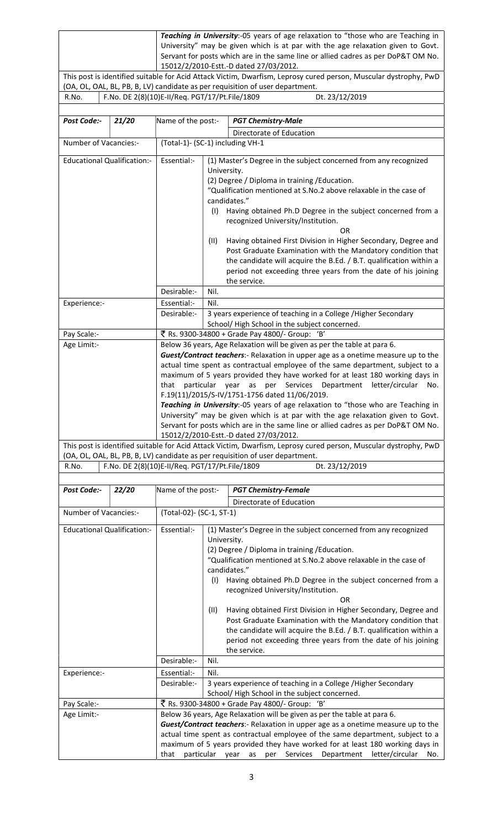| Teaching in University:-05 years of age relaxation to "those who are Teaching in                              |  |  |  |  |  |  |
|---------------------------------------------------------------------------------------------------------------|--|--|--|--|--|--|
| University" may be given which is at par with the age relaxation given to Govt.                               |  |  |  |  |  |  |
| Servant for posts which are in the same line or allied cadres as per DoP&T OM No.                             |  |  |  |  |  |  |
| 15012/2/2010-Estt.-D dated 27/03/2012.                                                                        |  |  |  |  |  |  |
| This neet is identified suitable for Asid Attack Victim Duration Lensey sured person. Museular dustranby, DuD |  |  |  |  |  |  |

This post is identified suitable for Acid Attack Victim, Dwarfism, Leprosy cured person, Muscular dystrophy, PwD (OA, OL, OAL, BL, PB, B, LV) candidate as per requisition of user department. R.No. F.No. DE 2(8)(10)E-II/Req. PGT/17/Pt.File/1809 Dt. 23/12/2019

| Post Code:-                        | 21/20 | Name of the post:-                                                                                                                                                                                                                                                                                                                                                                                                                                                                                                                                                                                                                                                                                                         |                                                                                                                                                                                                                                                                                                                                                                                                                                                                                                                                                                                                                                         | <b>PGT Chemistry-Male</b>                                                                                                                                                                                                                                                                                                                                                                                                                                                                                                                                                                        |  |  |  |
|------------------------------------|-------|----------------------------------------------------------------------------------------------------------------------------------------------------------------------------------------------------------------------------------------------------------------------------------------------------------------------------------------------------------------------------------------------------------------------------------------------------------------------------------------------------------------------------------------------------------------------------------------------------------------------------------------------------------------------------------------------------------------------------|-----------------------------------------------------------------------------------------------------------------------------------------------------------------------------------------------------------------------------------------------------------------------------------------------------------------------------------------------------------------------------------------------------------------------------------------------------------------------------------------------------------------------------------------------------------------------------------------------------------------------------------------|--------------------------------------------------------------------------------------------------------------------------------------------------------------------------------------------------------------------------------------------------------------------------------------------------------------------------------------------------------------------------------------------------------------------------------------------------------------------------------------------------------------------------------------------------------------------------------------------------|--|--|--|
|                                    |       |                                                                                                                                                                                                                                                                                                                                                                                                                                                                                                                                                                                                                                                                                                                            | Directorate of Education                                                                                                                                                                                                                                                                                                                                                                                                                                                                                                                                                                                                                |                                                                                                                                                                                                                                                                                                                                                                                                                                                                                                                                                                                                  |  |  |  |
| Number of Vacancies:-              |       | (Total-1)- (SC-1) including VH-1                                                                                                                                                                                                                                                                                                                                                                                                                                                                                                                                                                                                                                                                                           |                                                                                                                                                                                                                                                                                                                                                                                                                                                                                                                                                                                                                                         |                                                                                                                                                                                                                                                                                                                                                                                                                                                                                                                                                                                                  |  |  |  |
| <b>Educational Qualification:-</b> |       | Essential:-                                                                                                                                                                                                                                                                                                                                                                                                                                                                                                                                                                                                                                                                                                                | University.<br>candidates."<br>(1)<br>(II)                                                                                                                                                                                                                                                                                                                                                                                                                                                                                                                                                                                              | (1) Master's Degree in the subject concerned from any recognized<br>(2) Degree / Diploma in training / Education.<br>"Qualification mentioned at S.No.2 above relaxable in the case of<br>Having obtained Ph.D Degree in the subject concerned from a<br>recognized University/Institution.<br><b>OR</b><br>Having obtained First Division in Higher Secondary, Degree and<br>Post Graduate Examination with the Mandatory condition that<br>the candidate will acquire the B.Ed. / B.T. qualification within a<br>period not exceeding three years from the date of his joining<br>the service. |  |  |  |
|                                    |       | Desirable:-                                                                                                                                                                                                                                                                                                                                                                                                                                                                                                                                                                                                                                                                                                                | Nil.                                                                                                                                                                                                                                                                                                                                                                                                                                                                                                                                                                                                                                    |                                                                                                                                                                                                                                                                                                                                                                                                                                                                                                                                                                                                  |  |  |  |
| Experience:-                       |       | Essential:-                                                                                                                                                                                                                                                                                                                                                                                                                                                                                                                                                                                                                                                                                                                | Nil.                                                                                                                                                                                                                                                                                                                                                                                                                                                                                                                                                                                                                                    |                                                                                                                                                                                                                                                                                                                                                                                                                                                                                                                                                                                                  |  |  |  |
|                                    |       | Desirable:-                                                                                                                                                                                                                                                                                                                                                                                                                                                                                                                                                                                                                                                                                                                |                                                                                                                                                                                                                                                                                                                                                                                                                                                                                                                                                                                                                                         | 3 years experience of teaching in a College /Higher Secondary<br>School/High School in the subject concerned.                                                                                                                                                                                                                                                                                                                                                                                                                                                                                    |  |  |  |
| Pay Scale:-                        |       |                                                                                                                                                                                                                                                                                                                                                                                                                                                                                                                                                                                                                                                                                                                            |                                                                                                                                                                                                                                                                                                                                                                                                                                                                                                                                                                                                                                         | ₹ Rs. 9300-34800 + Grade Pay 4800/- Group: 'B'                                                                                                                                                                                                                                                                                                                                                                                                                                                                                                                                                   |  |  |  |
| Age Limit:-                        |       | Below 36 years, Age Relaxation will be given as per the table at para 6.<br>Guest/Contract teachers:- Relaxation in upper age as a onetime measure up to the<br>actual time spent as contractual employee of the same department, subject to a<br>maximum of 5 years provided they have worked for at least 180 working days in<br>that particular year<br>as per Services Department letter/circular<br>No.<br>F.19(11)/2015/S-IV/1751-1756 dated 11/06/2019.<br>Teaching in University:-05 years of age relaxation to "those who are Teaching in<br>University" may be given which is at par with the age relaxation given to Govt.<br>Servant for posts which are in the same line or allied cadres as per DoP&T OM No. |                                                                                                                                                                                                                                                                                                                                                                                                                                                                                                                                                                                                                                         |                                                                                                                                                                                                                                                                                                                                                                                                                                                                                                                                                                                                  |  |  |  |
|                                    |       |                                                                                                                                                                                                                                                                                                                                                                                                                                                                                                                                                                                                                                                                                                                            |                                                                                                                                                                                                                                                                                                                                                                                                                                                                                                                                                                                                                                         | 15012/2/2010-Estt.-D dated 27/03/2012.<br>This post is identified suitable for Acid Attack Victim, Dwarfism, Leprosy cured person, Muscular dystrophy, PwD                                                                                                                                                                                                                                                                                                                                                                                                                                       |  |  |  |
| R.No.                              |       | F.No. DE 2(8)(10)E-II/Req. PGT/17/Pt.File/1809                                                                                                                                                                                                                                                                                                                                                                                                                                                                                                                                                                                                                                                                             |                                                                                                                                                                                                                                                                                                                                                                                                                                                                                                                                                                                                                                         | (OA, OL, OAL, BL, PB, B, LV) candidate as per requisition of user department.<br>Dt. 23/12/2019                                                                                                                                                                                                                                                                                                                                                                                                                                                                                                  |  |  |  |
|                                    |       |                                                                                                                                                                                                                                                                                                                                                                                                                                                                                                                                                                                                                                                                                                                            |                                                                                                                                                                                                                                                                                                                                                                                                                                                                                                                                                                                                                                         |                                                                                                                                                                                                                                                                                                                                                                                                                                                                                                                                                                                                  |  |  |  |
| Post Code:-                        | 22/20 | Name of the post:-                                                                                                                                                                                                                                                                                                                                                                                                                                                                                                                                                                                                                                                                                                         |                                                                                                                                                                                                                                                                                                                                                                                                                                                                                                                                                                                                                                         | <b>PGT Chemistry-Female</b>                                                                                                                                                                                                                                                                                                                                                                                                                                                                                                                                                                      |  |  |  |
|                                    |       |                                                                                                                                                                                                                                                                                                                                                                                                                                                                                                                                                                                                                                                                                                                            |                                                                                                                                                                                                                                                                                                                                                                                                                                                                                                                                                                                                                                         | Directorate of Education                                                                                                                                                                                                                                                                                                                                                                                                                                                                                                                                                                         |  |  |  |
| Number of Vacancies:-              |       | (Total-02)- (SC-1, ST-1)                                                                                                                                                                                                                                                                                                                                                                                                                                                                                                                                                                                                                                                                                                   |                                                                                                                                                                                                                                                                                                                                                                                                                                                                                                                                                                                                                                         |                                                                                                                                                                                                                                                                                                                                                                                                                                                                                                                                                                                                  |  |  |  |
| <b>Educational Qualification:-</b> |       | Essential:-                                                                                                                                                                                                                                                                                                                                                                                                                                                                                                                                                                                                                                                                                                                | (1) Master's Degree in the subject concerned from any recognized<br>University.<br>(2) Degree / Diploma in training / Education.<br>"Qualification mentioned at S.No.2 above relaxable in the case of<br>candidates."<br>Having obtained Ph.D Degree in the subject concerned from a<br>(1)<br>recognized University/Institution.<br>OR<br>Having obtained First Division in Higher Secondary, Degree and<br>(II)<br>Post Graduate Examination with the Mandatory condition that<br>the candidate will acquire the B.Ed. / B.T. qualification within a<br>period not exceeding three years from the date of his joining<br>the service. |                                                                                                                                                                                                                                                                                                                                                                                                                                                                                                                                                                                                  |  |  |  |
|                                    |       | Desirable:-                                                                                                                                                                                                                                                                                                                                                                                                                                                                                                                                                                                                                                                                                                                | Nil.                                                                                                                                                                                                                                                                                                                                                                                                                                                                                                                                                                                                                                    |                                                                                                                                                                                                                                                                                                                                                                                                                                                                                                                                                                                                  |  |  |  |
| Experience:-                       |       | Essential:-<br>Desirable:-                                                                                                                                                                                                                                                                                                                                                                                                                                                                                                                                                                                                                                                                                                 | Nil.                                                                                                                                                                                                                                                                                                                                                                                                                                                                                                                                                                                                                                    | 3 years experience of teaching in a College /Higher Secondary<br>School/High School in the subject concerned.                                                                                                                                                                                                                                                                                                                                                                                                                                                                                    |  |  |  |
| Pay Scale:-                        |       |                                                                                                                                                                                                                                                                                                                                                                                                                                                                                                                                                                                                                                                                                                                            |                                                                                                                                                                                                                                                                                                                                                                                                                                                                                                                                                                                                                                         | ₹ Rs. 9300-34800 + Grade Pay 4800/- Group: 'B'                                                                                                                                                                                                                                                                                                                                                                                                                                                                                                                                                   |  |  |  |
| Age Limit:-                        |       | that particular year                                                                                                                                                                                                                                                                                                                                                                                                                                                                                                                                                                                                                                                                                                       |                                                                                                                                                                                                                                                                                                                                                                                                                                                                                                                                                                                                                                         | Below 36 years, Age Relaxation will be given as per the table at para 6.<br>Guest/Contract teachers:- Relaxation in upper age as a onetime measure up to the<br>actual time spent as contractual employee of the same department, subject to a<br>maximum of 5 years provided they have worked for at least 180 working days in<br>as<br>Department<br>letter/circular<br>per<br>Services<br>No.                                                                                                                                                                                                 |  |  |  |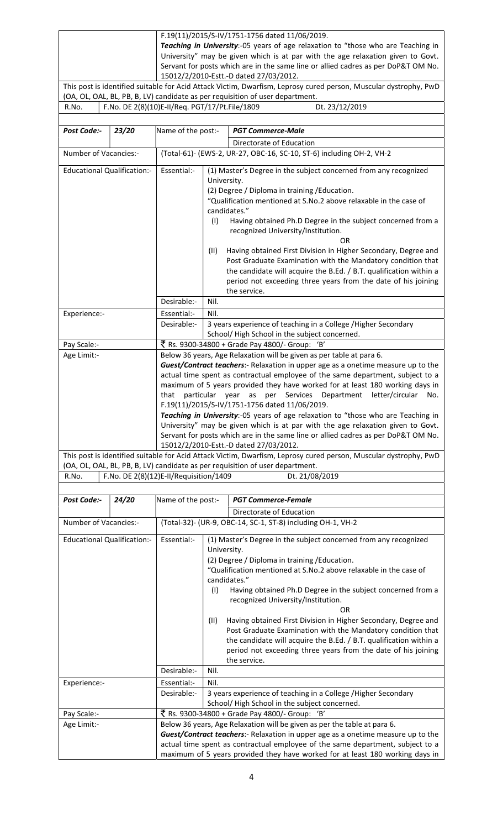| F.19(11)/2015/S-IV/1751-1756 dated 11/06/2019.                                                               |
|--------------------------------------------------------------------------------------------------------------|
| Teaching in University:-05 years of age relaxation to "those who are Teaching in                             |
| University" may be given which is at par with the age relaxation given to Govt.                              |
| Servant for posts which are in the same line or allied cadres as per DoP&T OM No.                            |
| 15012/2/2010-Estt.-D dated 27/03/2012.                                                                       |
| This nost is identified suitable for Acid Attack Victim Dwarfism Lenrosy cured person Muscular dystronby PwD |

This post is identified suitable for Acid Attack Victim, Dwarfism, Leprosy cured person, Muscular dystrophy, PwD (OA, OL, OAL, BL, PB, B, LV) candidate as per requisition of user department.

R.No. F.No. DE 2(8)(10)E-II/Req. PGT/17/Pt.File/1809 Dt. 23/12/2019

| Post Code:-                        | 23/20 | Name of the post:-                                                                                                                                                                                                                                                                                                                                                                                                                                                                                                                                                                                                                             |                                                                                                                                                                                                                                                                                                                                                                                                                                                                                                                                                                                                                                                | <b>PGT Commerce-Male</b>                                                                                                                                                                                                                                                                                                                                                                                                                                                                                                                                                                         |  |  |  |  |
|------------------------------------|-------|------------------------------------------------------------------------------------------------------------------------------------------------------------------------------------------------------------------------------------------------------------------------------------------------------------------------------------------------------------------------------------------------------------------------------------------------------------------------------------------------------------------------------------------------------------------------------------------------------------------------------------------------|------------------------------------------------------------------------------------------------------------------------------------------------------------------------------------------------------------------------------------------------------------------------------------------------------------------------------------------------------------------------------------------------------------------------------------------------------------------------------------------------------------------------------------------------------------------------------------------------------------------------------------------------|--------------------------------------------------------------------------------------------------------------------------------------------------------------------------------------------------------------------------------------------------------------------------------------------------------------------------------------------------------------------------------------------------------------------------------------------------------------------------------------------------------------------------------------------------------------------------------------------------|--|--|--|--|
|                                    |       |                                                                                                                                                                                                                                                                                                                                                                                                                                                                                                                                                                                                                                                |                                                                                                                                                                                                                                                                                                                                                                                                                                                                                                                                                                                                                                                | Directorate of Education                                                                                                                                                                                                                                                                                                                                                                                                                                                                                                                                                                         |  |  |  |  |
| Number of Vacancies:-              |       |                                                                                                                                                                                                                                                                                                                                                                                                                                                                                                                                                                                                                                                |                                                                                                                                                                                                                                                                                                                                                                                                                                                                                                                                                                                                                                                | (Total-61)- (EWS-2, UR-27, OBC-16, SC-10, ST-6) including OH-2, VH-2                                                                                                                                                                                                                                                                                                                                                                                                                                                                                                                             |  |  |  |  |
| <b>Educational Qualification:-</b> |       | Essential:-                                                                                                                                                                                                                                                                                                                                                                                                                                                                                                                                                                                                                                    | University.<br>(1)<br>(11)                                                                                                                                                                                                                                                                                                                                                                                                                                                                                                                                                                                                                     | (1) Master's Degree in the subject concerned from any recognized<br>(2) Degree / Diploma in training / Education.<br>"Qualification mentioned at S.No.2 above relaxable in the case of<br>candidates."<br>Having obtained Ph.D Degree in the subject concerned from a<br>recognized University/Institution.<br><b>OR</b><br>Having obtained First Division in Higher Secondary, Degree and<br>Post Graduate Examination with the Mandatory condition that<br>the candidate will acquire the B.Ed. / B.T. qualification within a<br>period not exceeding three years from the date of his joining |  |  |  |  |
|                                    |       | Desirable:-                                                                                                                                                                                                                                                                                                                                                                                                                                                                                                                                                                                                                                    | Nil.                                                                                                                                                                                                                                                                                                                                                                                                                                                                                                                                                                                                                                           | the service.                                                                                                                                                                                                                                                                                                                                                                                                                                                                                                                                                                                     |  |  |  |  |
| Experience:-                       |       | Essential:-                                                                                                                                                                                                                                                                                                                                                                                                                                                                                                                                                                                                                                    | Nil.                                                                                                                                                                                                                                                                                                                                                                                                                                                                                                                                                                                                                                           |                                                                                                                                                                                                                                                                                                                                                                                                                                                                                                                                                                                                  |  |  |  |  |
|                                    |       | Desirable:-                                                                                                                                                                                                                                                                                                                                                                                                                                                                                                                                                                                                                                    |                                                                                                                                                                                                                                                                                                                                                                                                                                                                                                                                                                                                                                                | 3 years experience of teaching in a College /Higher Secondary                                                                                                                                                                                                                                                                                                                                                                                                                                                                                                                                    |  |  |  |  |
|                                    |       |                                                                                                                                                                                                                                                                                                                                                                                                                                                                                                                                                                                                                                                |                                                                                                                                                                                                                                                                                                                                                                                                                                                                                                                                                                                                                                                | School/High School in the subject concerned.                                                                                                                                                                                                                                                                                                                                                                                                                                                                                                                                                     |  |  |  |  |
| Pay Scale:-<br>Age Limit:-         |       |                                                                                                                                                                                                                                                                                                                                                                                                                                                                                                                                                                                                                                                |                                                                                                                                                                                                                                                                                                                                                                                                                                                                                                                                                                                                                                                | ₹ Rs. 9300-34800 + Grade Pay 4800/- Group: 'B'<br>Below 36 years, Age Relaxation will be given as per table at para 6.                                                                                                                                                                                                                                                                                                                                                                                                                                                                           |  |  |  |  |
|                                    |       | Guest/Contract teachers:- Relaxation in upper age as a onetime measure up to the<br>actual time spent as contractual employee of the same department, subject to a<br>maximum of 5 years provided they have worked for at least 180 working days in<br>particular year as per Services Department letter/circular<br>that<br>No.<br>F.19(11)/2015/S-IV/1751-1756 dated 11/06/2019.<br>Teaching in University:-05 years of age relaxation to "those who are Teaching in<br>University" may be given which is at par with the age relaxation given to Govt.<br>Servant for posts which are in the same line or allied cadres as per DoP&T OM No. |                                                                                                                                                                                                                                                                                                                                                                                                                                                                                                                                                                                                                                                |                                                                                                                                                                                                                                                                                                                                                                                                                                                                                                                                                                                                  |  |  |  |  |
|                                    |       |                                                                                                                                                                                                                                                                                                                                                                                                                                                                                                                                                                                                                                                | 15012/2/2010-Estt.-D dated 27/03/2012.<br>This post is identified suitable for Acid Attack Victim, Dwarfism, Leprosy cured person, Muscular dystrophy, PwD                                                                                                                                                                                                                                                                                                                                                                                                                                                                                     |                                                                                                                                                                                                                                                                                                                                                                                                                                                                                                                                                                                                  |  |  |  |  |
| R.No.                              |       | F.No. DE 2(8)(12)E-II/Requisition/1409                                                                                                                                                                                                                                                                                                                                                                                                                                                                                                                                                                                                         |                                                                                                                                                                                                                                                                                                                                                                                                                                                                                                                                                                                                                                                | (OA, OL, OAL, BL, PB, B, LV) candidate as per requisition of user department.<br>Dt. 21/08/2019                                                                                                                                                                                                                                                                                                                                                                                                                                                                                                  |  |  |  |  |
|                                    |       |                                                                                                                                                                                                                                                                                                                                                                                                                                                                                                                                                                                                                                                |                                                                                                                                                                                                                                                                                                                                                                                                                                                                                                                                                                                                                                                |                                                                                                                                                                                                                                                                                                                                                                                                                                                                                                                                                                                                  |  |  |  |  |
| Post Code:-                        | 24/20 | Name of the post:-                                                                                                                                                                                                                                                                                                                                                                                                                                                                                                                                                                                                                             |                                                                                                                                                                                                                                                                                                                                                                                                                                                                                                                                                                                                                                                | <b>PGT Commerce-Female</b>                                                                                                                                                                                                                                                                                                                                                                                                                                                                                                                                                                       |  |  |  |  |
|                                    |       |                                                                                                                                                                                                                                                                                                                                                                                                                                                                                                                                                                                                                                                |                                                                                                                                                                                                                                                                                                                                                                                                                                                                                                                                                                                                                                                | Directorate of Education                                                                                                                                                                                                                                                                                                                                                                                                                                                                                                                                                                         |  |  |  |  |
| Number of Vacancies:-              |       |                                                                                                                                                                                                                                                                                                                                                                                                                                                                                                                                                                                                                                                |                                                                                                                                                                                                                                                                                                                                                                                                                                                                                                                                                                                                                                                | (Total-32)- (UR-9, OBC-14, SC-1, ST-8) including OH-1, VH-2                                                                                                                                                                                                                                                                                                                                                                                                                                                                                                                                      |  |  |  |  |
| <b>Educational Qualification:-</b> |       | Essential:-                                                                                                                                                                                                                                                                                                                                                                                                                                                                                                                                                                                                                                    | (1) Master's Degree in the subject concerned from any recognized<br>University.<br>(2) Degree / Diploma in training / Education.<br>"Qualification mentioned at S.No.2 above relaxable in the case of<br>candidates."<br>(1)<br>Having obtained Ph.D Degree in the subject concerned from a<br>recognized University/Institution.<br><b>OR</b><br>Having obtained First Division in Higher Secondary, Degree and<br>(11)<br>Post Graduate Examination with the Mandatory condition that<br>the candidate will acquire the B.Ed. / B.T. qualification within a<br>period not exceeding three years from the date of his joining<br>the service. |                                                                                                                                                                                                                                                                                                                                                                                                                                                                                                                                                                                                  |  |  |  |  |
|                                    |       | Desirable:-                                                                                                                                                                                                                                                                                                                                                                                                                                                                                                                                                                                                                                    | Nil.                                                                                                                                                                                                                                                                                                                                                                                                                                                                                                                                                                                                                                           |                                                                                                                                                                                                                                                                                                                                                                                                                                                                                                                                                                                                  |  |  |  |  |
| Experience:-                       |       | Essential:-                                                                                                                                                                                                                                                                                                                                                                                                                                                                                                                                                                                                                                    | Nil.                                                                                                                                                                                                                                                                                                                                                                                                                                                                                                                                                                                                                                           |                                                                                                                                                                                                                                                                                                                                                                                                                                                                                                                                                                                                  |  |  |  |  |
|                                    |       | Desirable:-                                                                                                                                                                                                                                                                                                                                                                                                                                                                                                                                                                                                                                    |                                                                                                                                                                                                                                                                                                                                                                                                                                                                                                                                                                                                                                                | 3 years experience of teaching in a College / Higher Secondary<br>School/High School in the subject concerned.                                                                                                                                                                                                                                                                                                                                                                                                                                                                                   |  |  |  |  |
| Pay Scale:-                        |       |                                                                                                                                                                                                                                                                                                                                                                                                                                                                                                                                                                                                                                                |                                                                                                                                                                                                                                                                                                                                                                                                                                                                                                                                                                                                                                                |                                                                                                                                                                                                                                                                                                                                                                                                                                                                                                                                                                                                  |  |  |  |  |
| Age Limit:-                        |       |                                                                                                                                                                                                                                                                                                                                                                                                                                                                                                                                                                                                                                                | ₹ Rs. 9300-34800 + Grade Pay 4800/- Group: 'B'<br>Below 36 years, Age Relaxation will be given as per the table at para 6.<br>Guest/Contract teachers:- Relaxation in upper age as a onetime measure up to the<br>actual time spent as contractual employee of the same department, subject to a<br>maximum of 5 years provided they have worked for at least 180 working days in                                                                                                                                                                                                                                                              |                                                                                                                                                                                                                                                                                                                                                                                                                                                                                                                                                                                                  |  |  |  |  |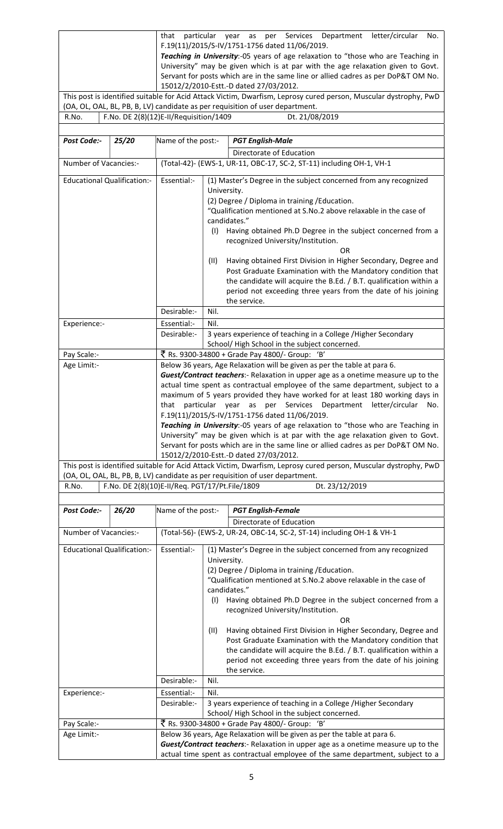|                                                                                                                  | that                                                                              |                                                |  |  |  |  |  | particular year as per Services Department letter/circular No. |  |
|------------------------------------------------------------------------------------------------------------------|-----------------------------------------------------------------------------------|------------------------------------------------|--|--|--|--|--|----------------------------------------------------------------|--|
|                                                                                                                  |                                                                                   | F.19(11)/2015/S-IV/1751-1756 dated 11/06/2019. |  |  |  |  |  |                                                                |  |
|                                                                                                                  | Teaching in University:-05 years of age relaxation to "those who are Teaching in  |                                                |  |  |  |  |  |                                                                |  |
|                                                                                                                  | University" may be given which is at par with the age relaxation given to Govt.   |                                                |  |  |  |  |  |                                                                |  |
|                                                                                                                  | Servant for posts which are in the same line or allied cadres as per DoP&T OM No. |                                                |  |  |  |  |  |                                                                |  |
|                                                                                                                  |                                                                                   | 15012/2/2010-Estt.-D dated 27/03/2012.         |  |  |  |  |  |                                                                |  |
| This post is identified suitable for Acid Attack Victim, Dwarfism, Leprosy cured person, Muscular dystrophy, PwD |                                                                                   |                                                |  |  |  |  |  |                                                                |  |

(OA, OL, OAL, BL, PB, B, LV) candidate as per requisition of user department. R.No. F.No. DE 2(8)(12)E-II/Requisition/1409 Dt. 21/08/2019

| Post Code:-                        | 25/20 | Name of the post:-                                                                                                                                                                                                                                                                                                                                                                                                                                                                                                                                                                                                                                                                    |                                            | <b>PGT English-Male</b>                                                                                                                                                                                                                                                                                                                                                                                                                                                                                                                                                                          |  |  |  |
|------------------------------------|-------|---------------------------------------------------------------------------------------------------------------------------------------------------------------------------------------------------------------------------------------------------------------------------------------------------------------------------------------------------------------------------------------------------------------------------------------------------------------------------------------------------------------------------------------------------------------------------------------------------------------------------------------------------------------------------------------|--------------------------------------------|--------------------------------------------------------------------------------------------------------------------------------------------------------------------------------------------------------------------------------------------------------------------------------------------------------------------------------------------------------------------------------------------------------------------------------------------------------------------------------------------------------------------------------------------------------------------------------------------------|--|--|--|
| Number of Vacancies:-              |       |                                                                                                                                                                                                                                                                                                                                                                                                                                                                                                                                                                                                                                                                                       |                                            | Directorate of Education<br>(Total-42)- (EWS-1, UR-11, OBC-17, SC-2, ST-11) including OH-1, VH-1                                                                                                                                                                                                                                                                                                                                                                                                                                                                                                 |  |  |  |
|                                    |       |                                                                                                                                                                                                                                                                                                                                                                                                                                                                                                                                                                                                                                                                                       |                                            |                                                                                                                                                                                                                                                                                                                                                                                                                                                                                                                                                                                                  |  |  |  |
| <b>Educational Qualification:-</b> |       | Essential:-                                                                                                                                                                                                                                                                                                                                                                                                                                                                                                                                                                                                                                                                           | University.<br>candidates."<br>(1)<br>(II) | (1) Master's Degree in the subject concerned from any recognized<br>(2) Degree / Diploma in training / Education.<br>"Qualification mentioned at S.No.2 above relaxable in the case of<br>Having obtained Ph.D Degree in the subject concerned from a<br>recognized University/Institution.<br><b>OR</b><br>Having obtained First Division in Higher Secondary, Degree and<br>Post Graduate Examination with the Mandatory condition that<br>the candidate will acquire the B.Ed. / B.T. qualification within a<br>period not exceeding three years from the date of his joining<br>the service. |  |  |  |
|                                    |       | Desirable:-                                                                                                                                                                                                                                                                                                                                                                                                                                                                                                                                                                                                                                                                           | Nil.                                       |                                                                                                                                                                                                                                                                                                                                                                                                                                                                                                                                                                                                  |  |  |  |
| Experience:-                       |       | Essential:-                                                                                                                                                                                                                                                                                                                                                                                                                                                                                                                                                                                                                                                                           | Nil.                                       |                                                                                                                                                                                                                                                                                                                                                                                                                                                                                                                                                                                                  |  |  |  |
|                                    |       | Desirable:-                                                                                                                                                                                                                                                                                                                                                                                                                                                                                                                                                                                                                                                                           |                                            | 3 years experience of teaching in a College /Higher Secondary<br>School/High School in the subject concerned.                                                                                                                                                                                                                                                                                                                                                                                                                                                                                    |  |  |  |
| Pay Scale:-                        |       |                                                                                                                                                                                                                                                                                                                                                                                                                                                                                                                                                                                                                                                                                       |                                            | ₹ Rs. 9300-34800 + Grade Pay 4800/- Group: 'B'                                                                                                                                                                                                                                                                                                                                                                                                                                                                                                                                                   |  |  |  |
| Age Limit:-                        |       |                                                                                                                                                                                                                                                                                                                                                                                                                                                                                                                                                                                                                                                                                       |                                            | Below 36 years, Age Relaxation will be given as per the table at para 6.                                                                                                                                                                                                                                                                                                                                                                                                                                                                                                                         |  |  |  |
|                                    |       | Guest/Contract teachers:- Relaxation in upper age as a onetime measure up to the<br>actual time spent as contractual employee of the same department, subject to a<br>maximum of 5 years provided they have worked for at least 180 working days in<br>particular year as per Services Department letter/circular No.<br>that<br>F.19(11)/2015/S-IV/1751-1756 dated 11/06/2019.<br>Teaching in University:-05 years of age relaxation to "those who are Teaching in<br>University" may be given which is at par with the age relaxation given to Govt.<br>Servant for posts which are in the same line or allied cadres as per DoP&T OM No.<br>15012/2/2010-Estt.-D dated 27/03/2012. |                                            |                                                                                                                                                                                                                                                                                                                                                                                                                                                                                                                                                                                                  |  |  |  |
|                                    |       |                                                                                                                                                                                                                                                                                                                                                                                                                                                                                                                                                                                                                                                                                       |                                            | This post is identified suitable for Acid Attack Victim, Dwarfism, Leprosy cured person, Muscular dystrophy, PwD<br>(OA, OL, OAL, BL, PB, B, LV) candidate as per requisition of user department.                                                                                                                                                                                                                                                                                                                                                                                                |  |  |  |
| R.No.                              |       | F.No. DE 2(8)(10)E-II/Req. PGT/17/Pt.File/1809                                                                                                                                                                                                                                                                                                                                                                                                                                                                                                                                                                                                                                        |                                            | Dt. 23/12/2019                                                                                                                                                                                                                                                                                                                                                                                                                                                                                                                                                                                   |  |  |  |
| Post Code:-                        | 26/20 | Name of the post:-                                                                                                                                                                                                                                                                                                                                                                                                                                                                                                                                                                                                                                                                    |                                            | <b>PGT English-Female</b>                                                                                                                                                                                                                                                                                                                                                                                                                                                                                                                                                                        |  |  |  |
|                                    |       |                                                                                                                                                                                                                                                                                                                                                                                                                                                                                                                                                                                                                                                                                       |                                            |                                                                                                                                                                                                                                                                                                                                                                                                                                                                                                                                                                                                  |  |  |  |
| Number of Vacancies:-              |       |                                                                                                                                                                                                                                                                                                                                                                                                                                                                                                                                                                                                                                                                                       |                                            | Directorate of Education<br>(Total-56)- (EWS-2, UR-24, OBC-14, SC-2, ST-14) including OH-1 & VH-1                                                                                                                                                                                                                                                                                                                                                                                                                                                                                                |  |  |  |
|                                    |       |                                                                                                                                                                                                                                                                                                                                                                                                                                                                                                                                                                                                                                                                                       |                                            |                                                                                                                                                                                                                                                                                                                                                                                                                                                                                                                                                                                                  |  |  |  |
| <b>Educational Qualification:-</b> |       | Essential:-                                                                                                                                                                                                                                                                                                                                                                                                                                                                                                                                                                                                                                                                           | University.<br>candidates."<br>(1)<br>(II) | (1) Master's Degree in the subject concerned from any recognized<br>(2) Degree / Diploma in training / Education.<br>"Qualification mentioned at S.No.2 above relaxable in the case of<br>Having obtained Ph.D Degree in the subject concerned from a<br>recognized University/Institution.<br><b>OR</b><br>Having obtained First Division in Higher Secondary, Degree and<br>Post Graduate Examination with the Mandatory condition that<br>the candidate will acquire the B.Ed. / B.T. qualification within a<br>period not exceeding three years from the date of his joining<br>the service. |  |  |  |
|                                    |       | Desirable:-                                                                                                                                                                                                                                                                                                                                                                                                                                                                                                                                                                                                                                                                           | Nil.                                       |                                                                                                                                                                                                                                                                                                                                                                                                                                                                                                                                                                                                  |  |  |  |
| Experience:-                       |       | Essential:-                                                                                                                                                                                                                                                                                                                                                                                                                                                                                                                                                                                                                                                                           | Nil.                                       |                                                                                                                                                                                                                                                                                                                                                                                                                                                                                                                                                                                                  |  |  |  |
|                                    |       | Desirable:-                                                                                                                                                                                                                                                                                                                                                                                                                                                                                                                                                                                                                                                                           |                                            | 3 years experience of teaching in a College / Higher Secondary<br>School/High School in the subject concerned.                                                                                                                                                                                                                                                                                                                                                                                                                                                                                   |  |  |  |
| Pay Scale:-                        |       |                                                                                                                                                                                                                                                                                                                                                                                                                                                                                                                                                                                                                                                                                       |                                            | ₹ Rs. 9300-34800 + Grade Pay 4800/- Group: 'B'                                                                                                                                                                                                                                                                                                                                                                                                                                                                                                                                                   |  |  |  |
| Age Limit:-                        |       |                                                                                                                                                                                                                                                                                                                                                                                                                                                                                                                                                                                                                                                                                       |                                            | Below 36 years, Age Relaxation will be given as per the table at para 6.                                                                                                                                                                                                                                                                                                                                                                                                                                                                                                                         |  |  |  |
|                                    |       |                                                                                                                                                                                                                                                                                                                                                                                                                                                                                                                                                                                                                                                                                       |                                            | Guest/Contract teachers:- Relaxation in upper age as a onetime measure up to the<br>actual time spent as contractual employee of the same department, subject to a                                                                                                                                                                                                                                                                                                                                                                                                                               |  |  |  |
|                                    |       |                                                                                                                                                                                                                                                                                                                                                                                                                                                                                                                                                                                                                                                                                       |                                            |                                                                                                                                                                                                                                                                                                                                                                                                                                                                                                                                                                                                  |  |  |  |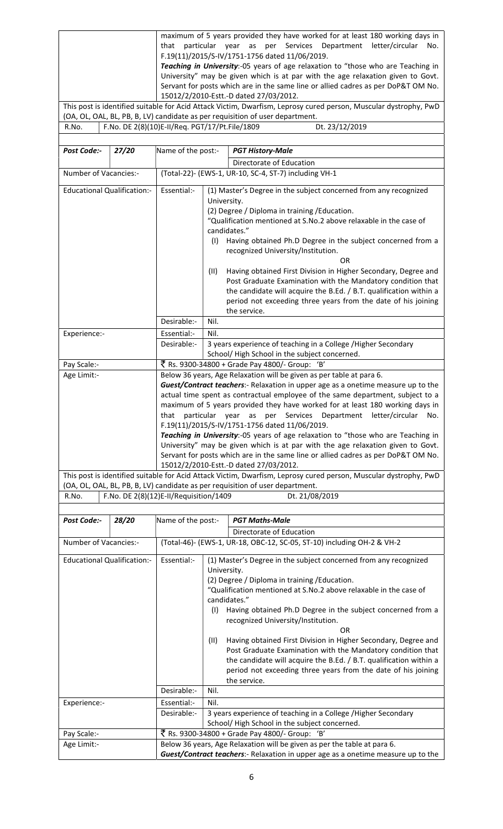maximum of 5 years provided they have worked for at least 180 working days in that particular year as per Services Department letter/circular No. F.19(11)/2015/S-IV/1751-1756 dated 11/06/2019. Teaching in University:-05 years of age relaxation to "those who are Teaching in University" may be given which is at par with the age relaxation given to Govt. Servant for posts which are in the same line or allied cadres as per DoP&T OM No. 15012/2/2010-Estt.-D dated 27/03/2012.

This post is identified suitable for Acid Attack Victim, Dwarfism, Leprosy cured person, Muscular dystrophy, PwD (OA, OL, OAL, BL, PB, B, LV) candidate as per requisition of user department. Dt. 23/12/2019

| F.No. DE 2(8)(10)E-II/Req. PGT/17/Pt.File/1809<br>R.No. |
|---------------------------------------------------------|
|---------------------------------------------------------|

| Post Code:-                                        | 27/20 | Name of the post:-                                                                                                                                                                                                                                                                                                                                                                                                                                                                                                                                                                                                                                                                                                                                            |                                                                                                                                                                                                                                                                                                                                                                                                                                                                                                                                                                                                                                                                                                                                                                           | <b>PGT History-Male</b>                                                                                                                                                                           |  |  |  |
|----------------------------------------------------|-------|---------------------------------------------------------------------------------------------------------------------------------------------------------------------------------------------------------------------------------------------------------------------------------------------------------------------------------------------------------------------------------------------------------------------------------------------------------------------------------------------------------------------------------------------------------------------------------------------------------------------------------------------------------------------------------------------------------------------------------------------------------------|---------------------------------------------------------------------------------------------------------------------------------------------------------------------------------------------------------------------------------------------------------------------------------------------------------------------------------------------------------------------------------------------------------------------------------------------------------------------------------------------------------------------------------------------------------------------------------------------------------------------------------------------------------------------------------------------------------------------------------------------------------------------------|---------------------------------------------------------------------------------------------------------------------------------------------------------------------------------------------------|--|--|--|
|                                                    |       |                                                                                                                                                                                                                                                                                                                                                                                                                                                                                                                                                                                                                                                                                                                                                               |                                                                                                                                                                                                                                                                                                                                                                                                                                                                                                                                                                                                                                                                                                                                                                           | Directorate of Education                                                                                                                                                                          |  |  |  |
| Number of Vacancies:-                              |       |                                                                                                                                                                                                                                                                                                                                                                                                                                                                                                                                                                                                                                                                                                                                                               |                                                                                                                                                                                                                                                                                                                                                                                                                                                                                                                                                                                                                                                                                                                                                                           | (Total-22)- (EWS-1, UR-10, SC-4, ST-7) including VH-1                                                                                                                                             |  |  |  |
| <b>Educational Qualification:-</b>                 |       | Essential:-                                                                                                                                                                                                                                                                                                                                                                                                                                                                                                                                                                                                                                                                                                                                                   | (1) Master's Degree in the subject concerned from any recognized<br>University.<br>(2) Degree / Diploma in training / Education.<br>"Qualification mentioned at S.No.2 above relaxable in the case of<br>candidates."<br>(1)<br>Having obtained Ph.D Degree in the subject concerned from a<br>recognized University/Institution.<br><b>OR</b><br>Having obtained First Division in Higher Secondary, Degree and<br>(11)<br>Post Graduate Examination with the Mandatory condition that<br>the candidate will acquire the B.Ed. / B.T. qualification within a<br>period not exceeding three years from the date of his joining<br>the service.                                                                                                                            |                                                                                                                                                                                                   |  |  |  |
|                                                    |       | Desirable:-                                                                                                                                                                                                                                                                                                                                                                                                                                                                                                                                                                                                                                                                                                                                                   | Nil.                                                                                                                                                                                                                                                                                                                                                                                                                                                                                                                                                                                                                                                                                                                                                                      |                                                                                                                                                                                                   |  |  |  |
| Experience:-                                       |       | Essential:-                                                                                                                                                                                                                                                                                                                                                                                                                                                                                                                                                                                                                                                                                                                                                   | Nil.                                                                                                                                                                                                                                                                                                                                                                                                                                                                                                                                                                                                                                                                                                                                                                      |                                                                                                                                                                                                   |  |  |  |
|                                                    |       | Desirable:-                                                                                                                                                                                                                                                                                                                                                                                                                                                                                                                                                                                                                                                                                                                                                   |                                                                                                                                                                                                                                                                                                                                                                                                                                                                                                                                                                                                                                                                                                                                                                           | 3 years experience of teaching in a College /Higher Secondary<br>School/High School in the subject concerned.                                                                                     |  |  |  |
| Pay Scale:-                                        |       |                                                                                                                                                                                                                                                                                                                                                                                                                                                                                                                                                                                                                                                                                                                                                               |                                                                                                                                                                                                                                                                                                                                                                                                                                                                                                                                                                                                                                                                                                                                                                           | ₹ Rs. 9300-34800 + Grade Pay 4800/- Group: 'B'                                                                                                                                                    |  |  |  |
| Age Limit:-                                        |       | Below 36 years, Age Relaxation will be given as per table at para 6.<br>Guest/Contract teachers:- Relaxation in upper age as a onetime measure up to the<br>actual time spent as contractual employee of the same department, subject to a<br>maximum of 5 years provided they have worked for at least 180 working days in<br>particular year as per Services Department letter/circular No.<br>that<br>F.19(11)/2015/S-IV/1751-1756 dated 11/06/2019.<br>Teaching in University:-05 years of age relaxation to "those who are Teaching in<br>University" may be given which is at par with the age relaxation given to Govt.<br>Servant for posts which are in the same line or allied cadres as per DoP&T OM No.<br>15012/2/2010-Estt.-D dated 27/03/2012. |                                                                                                                                                                                                                                                                                                                                                                                                                                                                                                                                                                                                                                                                                                                                                                           |                                                                                                                                                                                                   |  |  |  |
|                                                    |       |                                                                                                                                                                                                                                                                                                                                                                                                                                                                                                                                                                                                                                                                                                                                                               |                                                                                                                                                                                                                                                                                                                                                                                                                                                                                                                                                                                                                                                                                                                                                                           | This post is identified suitable for Acid Attack Victim, Dwarfism, Leprosy cured person, Muscular dystrophy, PwD<br>(OA, OL, OAL, BL, PB, B, LV) candidate as per requisition of user department. |  |  |  |
| R.No.                                              |       | F.No. DE 2(8)(12)E-II/Requisition/1409                                                                                                                                                                                                                                                                                                                                                                                                                                                                                                                                                                                                                                                                                                                        |                                                                                                                                                                                                                                                                                                                                                                                                                                                                                                                                                                                                                                                                                                                                                                           | Dt. 21/08/2019                                                                                                                                                                                    |  |  |  |
|                                                    |       |                                                                                                                                                                                                                                                                                                                                                                                                                                                                                                                                                                                                                                                                                                                                                               |                                                                                                                                                                                                                                                                                                                                                                                                                                                                                                                                                                                                                                                                                                                                                                           |                                                                                                                                                                                                   |  |  |  |
| Post Code:-                                        | 28/20 | Name of the post:-                                                                                                                                                                                                                                                                                                                                                                                                                                                                                                                                                                                                                                                                                                                                            |                                                                                                                                                                                                                                                                                                                                                                                                                                                                                                                                                                                                                                                                                                                                                                           | <b>PGT Maths-Male</b>                                                                                                                                                                             |  |  |  |
|                                                    |       |                                                                                                                                                                                                                                                                                                                                                                                                                                                                                                                                                                                                                                                                                                                                                               |                                                                                                                                                                                                                                                                                                                                                                                                                                                                                                                                                                                                                                                                                                                                                                           | Directorate of Education                                                                                                                                                                          |  |  |  |
| Number of Vacancies:-                              |       | Essential:-                                                                                                                                                                                                                                                                                                                                                                                                                                                                                                                                                                                                                                                                                                                                                   | (Total-46)- (EWS-1, UR-18, OBC-12, SC-05, ST-10) including OH-2 & VH-2                                                                                                                                                                                                                                                                                                                                                                                                                                                                                                                                                                                                                                                                                                    |                                                                                                                                                                                                   |  |  |  |
| <b>Educational Qualification:-</b><br>Experience:- |       | Desirable:-<br>Essential:-<br>Desirable:-                                                                                                                                                                                                                                                                                                                                                                                                                                                                                                                                                                                                                                                                                                                     | (1) Master's Degree in the subject concerned from any recognized<br>University.<br>(2) Degree / Diploma in training / Education.<br>"Qualification mentioned at S.No.2 above relaxable in the case of<br>candidates."<br>(1)<br>Having obtained Ph.D Degree in the subject concerned from a<br>recognized University/Institution.<br>OR<br>Having obtained First Division in Higher Secondary, Degree and<br>(11)<br>Post Graduate Examination with the Mandatory condition that<br>the candidate will acquire the B.Ed. / B.T. qualification within a<br>period not exceeding three years from the date of his joining<br>the service.<br>Nil.<br>Nil.<br>3 years experience of teaching in a College / Higher Secondary<br>School/High School in the subject concerned. |                                                                                                                                                                                                   |  |  |  |
| Pay Scale:-                                        |       |                                                                                                                                                                                                                                                                                                                                                                                                                                                                                                                                                                                                                                                                                                                                                               |                                                                                                                                                                                                                                                                                                                                                                                                                                                                                                                                                                                                                                                                                                                                                                           | ₹ Rs. 9300-34800 + Grade Pay 4800/- Group: 'B'                                                                                                                                                    |  |  |  |
| Age Limit:-                                        |       |                                                                                                                                                                                                                                                                                                                                                                                                                                                                                                                                                                                                                                                                                                                                                               |                                                                                                                                                                                                                                                                                                                                                                                                                                                                                                                                                                                                                                                                                                                                                                           | Below 36 years, Age Relaxation will be given as per the table at para 6.                                                                                                                          |  |  |  |
|                                                    |       |                                                                                                                                                                                                                                                                                                                                                                                                                                                                                                                                                                                                                                                                                                                                                               |                                                                                                                                                                                                                                                                                                                                                                                                                                                                                                                                                                                                                                                                                                                                                                           | Guest/Contract teachers:- Relaxation in upper age as a onetime measure up to the                                                                                                                  |  |  |  |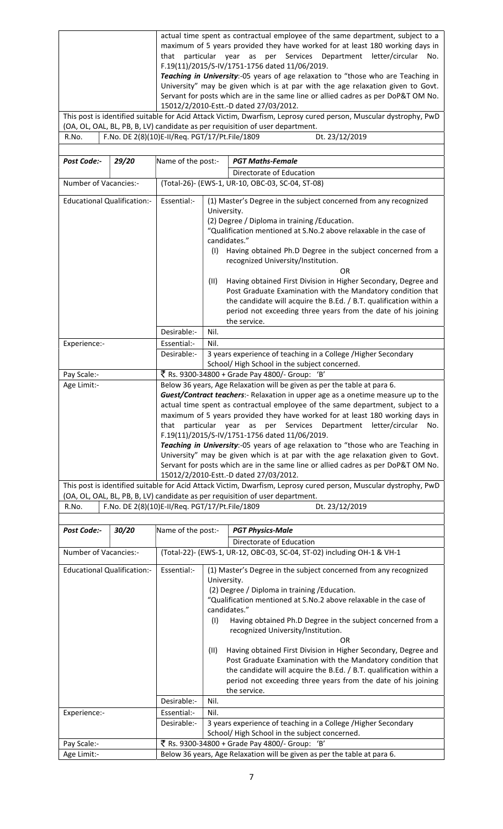| actual time spent as contractual employee of the same department, subject to a   |  |  |  |  |  |  |                                                                     |  |  |
|----------------------------------------------------------------------------------|--|--|--|--|--|--|---------------------------------------------------------------------|--|--|
| maximum of 5 years provided they have worked for at least 180 working days in    |  |  |  |  |  |  |                                                                     |  |  |
|                                                                                  |  |  |  |  |  |  | that particular year as per Services Department letter/circular No. |  |  |
| F.19(11)/2015/S-IV/1751-1756 dated 11/06/2019.                                   |  |  |  |  |  |  |                                                                     |  |  |
| Teaching in University:-05 years of age relaxation to "those who are Teaching in |  |  |  |  |  |  |                                                                     |  |  |
|                                                                                  |  |  |  |  |  |  |                                                                     |  |  |

University" may be given which is at par with the age relaxation given to Govt. Servant for posts which are in the same line or allied cadres as per DoP&T OM No. 15012/2/2010-Estt.-D dated 27/03/2012.

This post is identified suitable for Acid Attack Victim, Dwarfism, Leprosy cured person, Muscular dystrophy, PwD (OA, OL, OAL, BL, PB, B, LV) candidate as per requisition of user department.<br>R.No.  $\boxed{\text{F.No. DE 2(8)(10)E-II/Req. PGT/17/Pt.File/1809}}$  Dt. 23/12/2019 R.No. | F.No. DE 2(8)(10)E-II/Req. PGT/17/Pt. File/1809

| Post Code:-                                    | 29/20 | Name of the post:-                                                                                                                                                                                                                                                                                                                                                                                                                                                                                                                                                                                                                                                                                   |                                                                                                                                                                                                                                                                                                                                                                                                                                                                                                                                                                                                                                         | <b>PGT Maths-Female</b>                                                                                                                                                                           |  |  |  |  |
|------------------------------------------------|-------|------------------------------------------------------------------------------------------------------------------------------------------------------------------------------------------------------------------------------------------------------------------------------------------------------------------------------------------------------------------------------------------------------------------------------------------------------------------------------------------------------------------------------------------------------------------------------------------------------------------------------------------------------------------------------------------------------|-----------------------------------------------------------------------------------------------------------------------------------------------------------------------------------------------------------------------------------------------------------------------------------------------------------------------------------------------------------------------------------------------------------------------------------------------------------------------------------------------------------------------------------------------------------------------------------------------------------------------------------------|---------------------------------------------------------------------------------------------------------------------------------------------------------------------------------------------------|--|--|--|--|
|                                                |       |                                                                                                                                                                                                                                                                                                                                                                                                                                                                                                                                                                                                                                                                                                      |                                                                                                                                                                                                                                                                                                                                                                                                                                                                                                                                                                                                                                         | Directorate of Education                                                                                                                                                                          |  |  |  |  |
| Number of Vacancies:-                          |       | (Total-26)- (EWS-1, UR-10, OBC-03, SC-04, ST-08)                                                                                                                                                                                                                                                                                                                                                                                                                                                                                                                                                                                                                                                     |                                                                                                                                                                                                                                                                                                                                                                                                                                                                                                                                                                                                                                         |                                                                                                                                                                                                   |  |  |  |  |
| <b>Educational Qualification:-</b>             |       | Essential:-<br>Desirable:-                                                                                                                                                                                                                                                                                                                                                                                                                                                                                                                                                                                                                                                                           | (1) Master's Degree in the subject concerned from any recognized<br>University.<br>(2) Degree / Diploma in training / Education.<br>"Qualification mentioned at S.No.2 above relaxable in the case of<br>candidates."<br>(1)<br>Having obtained Ph.D Degree in the subject concerned from a<br>recognized University/Institution.<br>OR<br>(11)<br>Having obtained First Division in Higher Secondary, Degree and<br>Post Graduate Examination with the Mandatory condition that<br>the candidate will acquire the B.Ed. / B.T. qualification within a<br>period not exceeding three years from the date of his joining<br>the service. |                                                                                                                                                                                                   |  |  |  |  |
|                                                |       |                                                                                                                                                                                                                                                                                                                                                                                                                                                                                                                                                                                                                                                                                                      | Nil.                                                                                                                                                                                                                                                                                                                                                                                                                                                                                                                                                                                                                                    |                                                                                                                                                                                                   |  |  |  |  |
| Experience:-                                   |       | Essential:-                                                                                                                                                                                                                                                                                                                                                                                                                                                                                                                                                                                                                                                                                          | Nil.                                                                                                                                                                                                                                                                                                                                                                                                                                                                                                                                                                                                                                    |                                                                                                                                                                                                   |  |  |  |  |
|                                                |       | Desirable:-                                                                                                                                                                                                                                                                                                                                                                                                                                                                                                                                                                                                                                                                                          |                                                                                                                                                                                                                                                                                                                                                                                                                                                                                                                                                                                                                                         | 3 years experience of teaching in a College /Higher Secondary<br>School/High School in the subject concerned.                                                                                     |  |  |  |  |
| Pay Scale:-                                    |       |                                                                                                                                                                                                                                                                                                                                                                                                                                                                                                                                                                                                                                                                                                      |                                                                                                                                                                                                                                                                                                                                                                                                                                                                                                                                                                                                                                         | ₹ Rs. 9300-34800 + Grade Pay 4800/- Group: 'B'                                                                                                                                                    |  |  |  |  |
| Age Limit:-                                    |       |                                                                                                                                                                                                                                                                                                                                                                                                                                                                                                                                                                                                                                                                                                      |                                                                                                                                                                                                                                                                                                                                                                                                                                                                                                                                                                                                                                         | Below 36 years, Age Relaxation will be given as per the table at para 6.                                                                                                                          |  |  |  |  |
|                                                |       | Guest/Contract teachers:- Relaxation in upper age as a onetime measure up to the<br>actual time spent as contractual employee of the same department, subject to a<br>maximum of 5 years provided they have worked for at least 180 working days in<br>particular year as<br>Services<br>Department<br>letter/circular<br>that<br>per<br>No.<br>F.19(11)/2015/S-IV/1751-1756 dated 11/06/2019.<br>Teaching in University:-05 years of age relaxation to "those who are Teaching in<br>University" may be given which is at par with the age relaxation given to Govt.<br>Servant for posts which are in the same line or allied cadres as per DoP&T OM No.<br>15012/2/2010-Estt.-D dated 27/03/2012. |                                                                                                                                                                                                                                                                                                                                                                                                                                                                                                                                                                                                                                         |                                                                                                                                                                                                   |  |  |  |  |
|                                                |       |                                                                                                                                                                                                                                                                                                                                                                                                                                                                                                                                                                                                                                                                                                      |                                                                                                                                                                                                                                                                                                                                                                                                                                                                                                                                                                                                                                         | This post is identified suitable for Acid Attack Victim, Dwarfism, Leprosy cured person, Muscular dystrophy, PwD<br>(OA, OL, OAL, BL, PB, B, LV) candidate as per requisition of user department. |  |  |  |  |
| R.No.                                          |       |                                                                                                                                                                                                                                                                                                                                                                                                                                                                                                                                                                                                                                                                                                      |                                                                                                                                                                                                                                                                                                                                                                                                                                                                                                                                                                                                                                         | Dt. 23/12/2019                                                                                                                                                                                    |  |  |  |  |
| F.No. DE 2(8)(10)E-II/Req. PGT/17/Pt.File/1809 |       |                                                                                                                                                                                                                                                                                                                                                                                                                                                                                                                                                                                                                                                                                                      |                                                                                                                                                                                                                                                                                                                                                                                                                                                                                                                                                                                                                                         |                                                                                                                                                                                                   |  |  |  |  |
| Post Code:-<br>30/20                           |       | Name of the post:-                                                                                                                                                                                                                                                                                                                                                                                                                                                                                                                                                                                                                                                                                   |                                                                                                                                                                                                                                                                                                                                                                                                                                                                                                                                                                                                                                         | <b>PGT Physics-Male</b>                                                                                                                                                                           |  |  |  |  |
|                                                |       |                                                                                                                                                                                                                                                                                                                                                                                                                                                                                                                                                                                                                                                                                                      |                                                                                                                                                                                                                                                                                                                                                                                                                                                                                                                                                                                                                                         | Directorate of Education                                                                                                                                                                          |  |  |  |  |
| Number of Vacancies:-                          |       | (Total-22)- (EWS-1, UR-12, OBC-03, SC-04, ST-02) including OH-1 & VH-1                                                                                                                                                                                                                                                                                                                                                                                                                                                                                                                                                                                                                               |                                                                                                                                                                                                                                                                                                                                                                                                                                                                                                                                                                                                                                         |                                                                                                                                                                                                   |  |  |  |  |
| <b>Educational Qualification:-</b>             |       | Essential:-                                                                                                                                                                                                                                                                                                                                                                                                                                                                                                                                                                                                                                                                                          | (1) Master's Degree in the subject concerned from any recognized<br>University.<br>(2) Degree / Diploma in training / Education.<br>"Qualification mentioned at S.No.2 above relaxable in the case of<br>candidates."<br>(1)<br>Having obtained Ph.D Degree in the subject concerned from a<br>recognized University/Institution.<br>OR<br>Having obtained First Division in Higher Secondary, Degree and<br>(11)<br>Post Graduate Examination with the Mandatory condition that<br>the candidate will acquire the B.Ed. / B.T. qualification within a<br>period not exceeding three years from the date of his joining<br>the service. |                                                                                                                                                                                                   |  |  |  |  |
|                                                |       | Desirable:-                                                                                                                                                                                                                                                                                                                                                                                                                                                                                                                                                                                                                                                                                          | Nil.                                                                                                                                                                                                                                                                                                                                                                                                                                                                                                                                                                                                                                    |                                                                                                                                                                                                   |  |  |  |  |
| Experience:-                                   |       | Essential:-                                                                                                                                                                                                                                                                                                                                                                                                                                                                                                                                                                                                                                                                                          | Nil.                                                                                                                                                                                                                                                                                                                                                                                                                                                                                                                                                                                                                                    |                                                                                                                                                                                                   |  |  |  |  |
|                                                |       | Desirable:-                                                                                                                                                                                                                                                                                                                                                                                                                                                                                                                                                                                                                                                                                          | 3 years experience of teaching in a College /Higher Secondary                                                                                                                                                                                                                                                                                                                                                                                                                                                                                                                                                                           |                                                                                                                                                                                                   |  |  |  |  |

Age Limit:- **Below 36 years, Age Relaxation will be given as per the table at para 6.** 

Pay Scale:-  $\bar{\bar{\zeta}}$  Rs. 9300-34800 + Grade Pay 4800/- Group: 'B'

School/ High School in the subject concerned.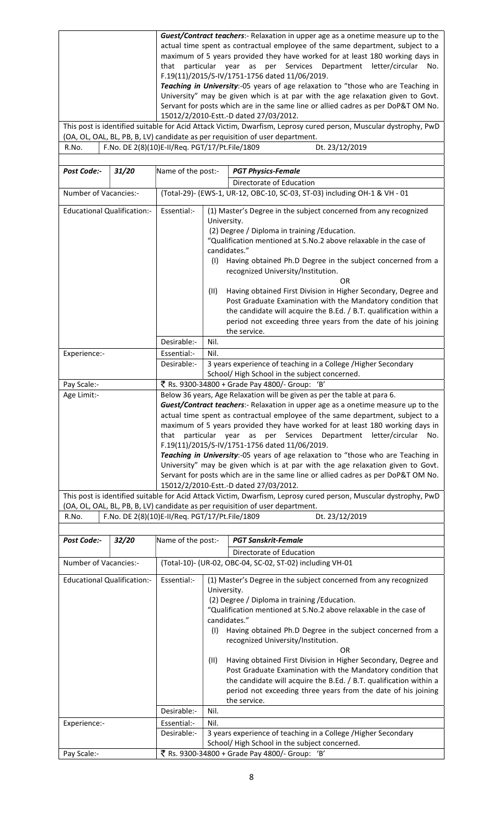|                                    |       | Guest/Contract teachers:- Relaxation in upper age as a onetime measure up to the                                                                                |                                                                                                                                                                     |  |  |  |  |  |
|------------------------------------|-------|-----------------------------------------------------------------------------------------------------------------------------------------------------------------|---------------------------------------------------------------------------------------------------------------------------------------------------------------------|--|--|--|--|--|
|                                    |       | actual time spent as contractual employee of the same department, subject to a<br>maximum of 5 years provided they have worked for at least 180 working days in |                                                                                                                                                                     |  |  |  |  |  |
|                                    |       | that particular year as per Services Department letter/circular<br>No.                                                                                          |                                                                                                                                                                     |  |  |  |  |  |
|                                    |       | F.19(11)/2015/S-IV/1751-1756 dated 11/06/2019.                                                                                                                  |                                                                                                                                                                     |  |  |  |  |  |
|                                    |       | Teaching in University:-05 years of age relaxation to "those who are Teaching in                                                                                |                                                                                                                                                                     |  |  |  |  |  |
|                                    |       | University" may be given which is at par with the age relaxation given to Govt.                                                                                 |                                                                                                                                                                     |  |  |  |  |  |
|                                    |       | Servant for posts which are in the same line or allied cadres as per DoP&T OM No.                                                                               |                                                                                                                                                                     |  |  |  |  |  |
|                                    |       | 15012/2/2010-Estt.-D dated 27/03/2012.                                                                                                                          |                                                                                                                                                                     |  |  |  |  |  |
|                                    |       |                                                                                                                                                                 | This post is identified suitable for Acid Attack Victim, Dwarfism, Leprosy cured person, Muscular dystrophy, PwD                                                    |  |  |  |  |  |
| R.No.                              |       |                                                                                                                                                                 | (OA, OL, OAL, BL, PB, B, LV) candidate as per requisition of user department.<br>F.No. DE 2(8)(10)E-II/Req. PGT/17/Pt.File/1809<br>Dt. 23/12/2019                   |  |  |  |  |  |
|                                    |       |                                                                                                                                                                 |                                                                                                                                                                     |  |  |  |  |  |
| Post Code:-                        | 31/20 | Name of the post:-                                                                                                                                              | <b>PGT Physics-Female</b>                                                                                                                                           |  |  |  |  |  |
|                                    |       |                                                                                                                                                                 | Directorate of Education                                                                                                                                            |  |  |  |  |  |
| Number of Vacancies:-              |       |                                                                                                                                                                 | (Total-29)- (EWS-1, UR-12, OBC-10, SC-03, ST-03) including OH-1 & VH - 01                                                                                           |  |  |  |  |  |
|                                    |       |                                                                                                                                                                 |                                                                                                                                                                     |  |  |  |  |  |
| <b>Educational Qualification:-</b> |       | Essential:-                                                                                                                                                     | (1) Master's Degree in the subject concerned from any recognized                                                                                                    |  |  |  |  |  |
|                                    |       |                                                                                                                                                                 | University.                                                                                                                                                         |  |  |  |  |  |
|                                    |       |                                                                                                                                                                 | (2) Degree / Diploma in training / Education.<br>"Qualification mentioned at S.No.2 above relaxable in the case of                                                  |  |  |  |  |  |
|                                    |       |                                                                                                                                                                 | candidates."                                                                                                                                                        |  |  |  |  |  |
|                                    |       |                                                                                                                                                                 | Having obtained Ph.D Degree in the subject concerned from a<br>(1)                                                                                                  |  |  |  |  |  |
|                                    |       |                                                                                                                                                                 | recognized University/Institution.                                                                                                                                  |  |  |  |  |  |
|                                    |       |                                                                                                                                                                 | <b>OR</b>                                                                                                                                                           |  |  |  |  |  |
|                                    |       |                                                                                                                                                                 | Having obtained First Division in Higher Secondary, Degree and<br>(11)                                                                                              |  |  |  |  |  |
|                                    |       |                                                                                                                                                                 | Post Graduate Examination with the Mandatory condition that                                                                                                         |  |  |  |  |  |
|                                    |       |                                                                                                                                                                 | the candidate will acquire the B.Ed. / B.T. qualification within a                                                                                                  |  |  |  |  |  |
|                                    |       |                                                                                                                                                                 | period not exceeding three years from the date of his joining                                                                                                       |  |  |  |  |  |
|                                    |       |                                                                                                                                                                 | the service.                                                                                                                                                        |  |  |  |  |  |
|                                    |       | Desirable:-                                                                                                                                                     | Nil.                                                                                                                                                                |  |  |  |  |  |
| Experience:-                       |       | Essential:-<br>Desirable:-                                                                                                                                      | Nil.                                                                                                                                                                |  |  |  |  |  |
|                                    |       |                                                                                                                                                                 | 3 years experience of teaching in a College / Higher Secondary<br>School/High School in the subject concerned.                                                      |  |  |  |  |  |
| Pay Scale:-                        |       |                                                                                                                                                                 | ₹ Rs. 9300-34800 + Grade Pay 4800/- Group: 'B'                                                                                                                      |  |  |  |  |  |
| Age Limit:-                        |       | Below 36 years, Age Relaxation will be given as per the table at para 6.                                                                                        |                                                                                                                                                                     |  |  |  |  |  |
|                                    |       | Guest/Contract teachers:- Relaxation in upper age as a onetime measure up to the                                                                                |                                                                                                                                                                     |  |  |  |  |  |
|                                    |       | actual time spent as contractual employee of the same department, subject to a                                                                                  |                                                                                                                                                                     |  |  |  |  |  |
|                                    |       |                                                                                                                                                                 | maximum of 5 years provided they have worked for at least 180 working days in                                                                                       |  |  |  |  |  |
|                                    |       | that                                                                                                                                                            | particular year<br>as per Services Department letter/circular<br>No.                                                                                                |  |  |  |  |  |
|                                    |       |                                                                                                                                                                 | F.19(11)/2015/S-IV/1751-1756 dated 11/06/2019.                                                                                                                      |  |  |  |  |  |
|                                    |       |                                                                                                                                                                 | Teaching in University:-05 years of age relaxation to "those who are Teaching in<br>University" may be given which is at par with the age relaxation given to Govt. |  |  |  |  |  |
|                                    |       |                                                                                                                                                                 | Servant for posts which are in the same line or allied cadres as per DoP&T OM No.                                                                                   |  |  |  |  |  |
|                                    |       |                                                                                                                                                                 | 15012/2/2010-Estt.-D dated 27/03/2012.                                                                                                                              |  |  |  |  |  |
|                                    |       |                                                                                                                                                                 | This post is identified suitable for Acid Attack Victim, Dwarfism, Leprosy cured person, Muscular dystrophy, PwD                                                    |  |  |  |  |  |
|                                    |       | (OA, OL, OAL, BL, PB, B, LV) candidate as per requisition of user department.                                                                                   |                                                                                                                                                                     |  |  |  |  |  |
| R.No.                              |       |                                                                                                                                                                 | F.No. DE 2(8)(10)E-II/Req. PGT/17/Pt.File/1809<br>Dt. 23/12/2019                                                                                                    |  |  |  |  |  |
|                                    |       |                                                                                                                                                                 |                                                                                                                                                                     |  |  |  |  |  |
| Post Code:-                        | 32/20 | Name of the post:-                                                                                                                                              | <b>PGT Sanskrit-Female</b>                                                                                                                                          |  |  |  |  |  |
|                                    |       |                                                                                                                                                                 | Directorate of Education                                                                                                                                            |  |  |  |  |  |
| Number of Vacancies:-              |       |                                                                                                                                                                 | (Total-10)- (UR-02, OBC-04, SC-02, ST-02) including VH-01                                                                                                           |  |  |  |  |  |
| <b>Educational Qualification:-</b> |       | Essential:-                                                                                                                                                     | (1) Master's Degree in the subject concerned from any recognized                                                                                                    |  |  |  |  |  |
|                                    |       |                                                                                                                                                                 | University.                                                                                                                                                         |  |  |  |  |  |
|                                    |       |                                                                                                                                                                 | (2) Degree / Diploma in training / Education.                                                                                                                       |  |  |  |  |  |
|                                    |       |                                                                                                                                                                 | "Qualification mentioned at S.No.2 above relaxable in the case of                                                                                                   |  |  |  |  |  |
|                                    |       |                                                                                                                                                                 | candidates."                                                                                                                                                        |  |  |  |  |  |
|                                    |       |                                                                                                                                                                 | Having obtained Ph.D Degree in the subject concerned from a<br>(1)                                                                                                  |  |  |  |  |  |
|                                    |       |                                                                                                                                                                 | recognized University/Institution.<br><b>OR</b>                                                                                                                     |  |  |  |  |  |
|                                    |       |                                                                                                                                                                 | Having obtained First Division in Higher Secondary, Degree and<br>(11)                                                                                              |  |  |  |  |  |
|                                    |       |                                                                                                                                                                 | Post Graduate Examination with the Mandatory condition that                                                                                                         |  |  |  |  |  |
|                                    |       |                                                                                                                                                                 | the candidate will acquire the B.Ed. / B.T. qualification within a                                                                                                  |  |  |  |  |  |
|                                    |       |                                                                                                                                                                 | period not exceeding three years from the date of his joining                                                                                                       |  |  |  |  |  |
|                                    |       |                                                                                                                                                                 | the service.                                                                                                                                                        |  |  |  |  |  |
|                                    |       |                                                                                                                                                                 |                                                                                                                                                                     |  |  |  |  |  |
|                                    |       | Desirable:-                                                                                                                                                     | Nil.                                                                                                                                                                |  |  |  |  |  |
| Experience:-                       |       | Essential:-                                                                                                                                                     | Nil.                                                                                                                                                                |  |  |  |  |  |
|                                    |       | Desirable:-                                                                                                                                                     | 3 years experience of teaching in a College / Higher Secondary<br>School/High School in the subject concerned.                                                      |  |  |  |  |  |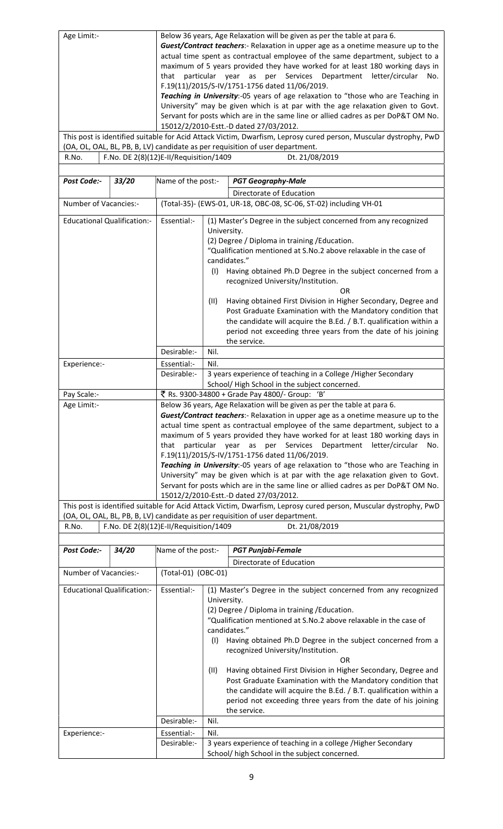| Age Limit:-<br>R.No.               |                                    | Below 36 years, Age Relaxation will be given as per the table at para 6.<br>Guest/Contract teachers:- Relaxation in upper age as a onetime measure up to the<br>actual time spent as contractual employee of the same department, subject to a<br>maximum of 5 years provided they have worked for at least 180 working days in<br>particular year as per Services Department letter/circular<br>that<br>No.<br>F.19(11)/2015/S-IV/1751-1756 dated 11/06/2019.<br>Teaching in University:-05 years of age relaxation to "those who are Teaching in<br>University" may be given which is at par with the age relaxation given to Govt.<br>Servant for posts which are in the same line or allied cadres as per DoP&T OM No.<br>15012/2/2010-Estt.-D dated 27/03/2012.<br>This post is identified suitable for Acid Attack Victim, Dwarfism, Leprosy cured person, Muscular dystrophy, PwD<br>(OA, OL, OAL, BL, PB, B, LV) candidate as per requisition of user department.<br>F.No. DE 2(8)(12)E-II/Requisition/1409<br>Dt. 21/08/2019 |                                                                                                                                                                                                                                                                                                                                                                                                                                                                                                                                                                                                                                                 |  |  |  |  |
|------------------------------------|------------------------------------|---------------------------------------------------------------------------------------------------------------------------------------------------------------------------------------------------------------------------------------------------------------------------------------------------------------------------------------------------------------------------------------------------------------------------------------------------------------------------------------------------------------------------------------------------------------------------------------------------------------------------------------------------------------------------------------------------------------------------------------------------------------------------------------------------------------------------------------------------------------------------------------------------------------------------------------------------------------------------------------------------------------------------------------|-------------------------------------------------------------------------------------------------------------------------------------------------------------------------------------------------------------------------------------------------------------------------------------------------------------------------------------------------------------------------------------------------------------------------------------------------------------------------------------------------------------------------------------------------------------------------------------------------------------------------------------------------|--|--|--|--|
| Post Code:-                        | 33/20                              | Name of the post:-<br><b>PGT Geography-Male</b><br>Directorate of Education                                                                                                                                                                                                                                                                                                                                                                                                                                                                                                                                                                                                                                                                                                                                                                                                                                                                                                                                                           |                                                                                                                                                                                                                                                                                                                                                                                                                                                                                                                                                                                                                                                 |  |  |  |  |
| Number of Vacancies:-              |                                    |                                                                                                                                                                                                                                                                                                                                                                                                                                                                                                                                                                                                                                                                                                                                                                                                                                                                                                                                                                                                                                       | (Total-35)- (EWS-01, UR-18, OBC-08, SC-06, ST-02) including VH-01                                                                                                                                                                                                                                                                                                                                                                                                                                                                                                                                                                               |  |  |  |  |
|                                    | <b>Educational Qualification:-</b> | Essential:-                                                                                                                                                                                                                                                                                                                                                                                                                                                                                                                                                                                                                                                                                                                                                                                                                                                                                                                                                                                                                           | (1) Master's Degree in the subject concerned from any recognized<br>University.<br>(2) Degree / Diploma in training / Education.<br>"Qualification mentioned at S.No.2 above relaxable in the case of<br>candidates."<br>Having obtained Ph.D Degree in the subject concerned from a<br>(1)<br>recognized University/Institution.<br>OR<br>Having obtained First Division in Higher Secondary, Degree and<br>(11)<br>Post Graduate Examination with the Mandatory condition that<br>the candidate will acquire the B.Ed. / B.T. qualification within a<br>period not exceeding three years from the date of his joining<br>the service.         |  |  |  |  |
|                                    |                                    | Desirable:-<br>Essential:-                                                                                                                                                                                                                                                                                                                                                                                                                                                                                                                                                                                                                                                                                                                                                                                                                                                                                                                                                                                                            | Nil.<br>Nil.                                                                                                                                                                                                                                                                                                                                                                                                                                                                                                                                                                                                                                    |  |  |  |  |
| Experience:-                       |                                    | Desirable:-                                                                                                                                                                                                                                                                                                                                                                                                                                                                                                                                                                                                                                                                                                                                                                                                                                                                                                                                                                                                                           | 3 years experience of teaching in a College / Higher Secondary                                                                                                                                                                                                                                                                                                                                                                                                                                                                                                                                                                                  |  |  |  |  |
| Pay Scale:-                        |                                    | School/High School in the subject concerned.<br>₹ Rs. 9300-34800 + Grade Pay 4800/- Group: 'B'                                                                                                                                                                                                                                                                                                                                                                                                                                                                                                                                                                                                                                                                                                                                                                                                                                                                                                                                        |                                                                                                                                                                                                                                                                                                                                                                                                                                                                                                                                                                                                                                                 |  |  |  |  |
| Age Limit:-                        |                                    | Below 36 years, Age Relaxation will be given as per the table at para 6.<br>Guest/Contract teachers:- Relaxation in upper age as a onetime measure up to the<br>actual time spent as contractual employee of the same department, subject to a<br>maximum of 5 years provided they have worked for at least 180 working days in<br>particular year as per Services Department letter/circular No.<br>that<br>F.19(11)/2015/S-IV/1751-1756 dated 11/06/2019.<br>Teaching in University:-05 years of age relaxation to "those who are Teaching in<br>University" may be given which is at par with the age relaxation given to Govt.<br>Servant for posts which are in the same line or allied cadres as per DoP&T OM No.<br>15012/2/2010-Estt.-D dated 27/03/2012.                                                                                                                                                                                                                                                                     |                                                                                                                                                                                                                                                                                                                                                                                                                                                                                                                                                                                                                                                 |  |  |  |  |
|                                    |                                    | This post is identified suitable for Acid Attack Victim, Dwarfism, Leprosy cured person, Muscular dystrophy, PwD<br>(OA, OL, OAL, BL, PB, B, LV) candidate as per requisition of user department.                                                                                                                                                                                                                                                                                                                                                                                                                                                                                                                                                                                                                                                                                                                                                                                                                                     |                                                                                                                                                                                                                                                                                                                                                                                                                                                                                                                                                                                                                                                 |  |  |  |  |
| R.No.                              |                                    | F.No. DE 2(8)(12)E-II/Requisition/1409                                                                                                                                                                                                                                                                                                                                                                                                                                                                                                                                                                                                                                                                                                                                                                                                                                                                                                                                                                                                | Dt. 21/08/2019                                                                                                                                                                                                                                                                                                                                                                                                                                                                                                                                                                                                                                  |  |  |  |  |
| Post Code:-                        | 34/20                              | Name of the post:-                                                                                                                                                                                                                                                                                                                                                                                                                                                                                                                                                                                                                                                                                                                                                                                                                                                                                                                                                                                                                    | <b>PGT Punjabi-Female</b>                                                                                                                                                                                                                                                                                                                                                                                                                                                                                                                                                                                                                       |  |  |  |  |
|                                    |                                    |                                                                                                                                                                                                                                                                                                                                                                                                                                                                                                                                                                                                                                                                                                                                                                                                                                                                                                                                                                                                                                       | Directorate of Education                                                                                                                                                                                                                                                                                                                                                                                                                                                                                                                                                                                                                        |  |  |  |  |
| Number of Vacancies:-              |                                    | (Total-01) (OBC-01)                                                                                                                                                                                                                                                                                                                                                                                                                                                                                                                                                                                                                                                                                                                                                                                                                                                                                                                                                                                                                   |                                                                                                                                                                                                                                                                                                                                                                                                                                                                                                                                                                                                                                                 |  |  |  |  |
| <b>Educational Qualification:-</b> |                                    | Essential:-<br>Desirable:-                                                                                                                                                                                                                                                                                                                                                                                                                                                                                                                                                                                                                                                                                                                                                                                                                                                                                                                                                                                                            | (1) Master's Degree in the subject concerned from any recognized<br>University.<br>(2) Degree / Diploma in training / Education.<br>"Qualification mentioned at S.No.2 above relaxable in the case of<br>candidates."<br>Having obtained Ph.D Degree in the subject concerned from a<br>(1)<br>recognized University/Institution.<br>OR<br>Having obtained First Division in Higher Secondary, Degree and<br>(11)<br>Post Graduate Examination with the Mandatory condition that<br>the candidate will acquire the B.Ed. / B.T. qualification within a<br>period not exceeding three years from the date of his joining<br>the service.<br>Nil. |  |  |  |  |
| Experience:-                       |                                    | Essential:-                                                                                                                                                                                                                                                                                                                                                                                                                                                                                                                                                                                                                                                                                                                                                                                                                                                                                                                                                                                                                           | Nil.                                                                                                                                                                                                                                                                                                                                                                                                                                                                                                                                                                                                                                            |  |  |  |  |
|                                    |                                    | Desirable:-                                                                                                                                                                                                                                                                                                                                                                                                                                                                                                                                                                                                                                                                                                                                                                                                                                                                                                                                                                                                                           | 3 years experience of teaching in a college / Higher Secondary<br>School/ high School in the subject concerned.                                                                                                                                                                                                                                                                                                                                                                                                                                                                                                                                 |  |  |  |  |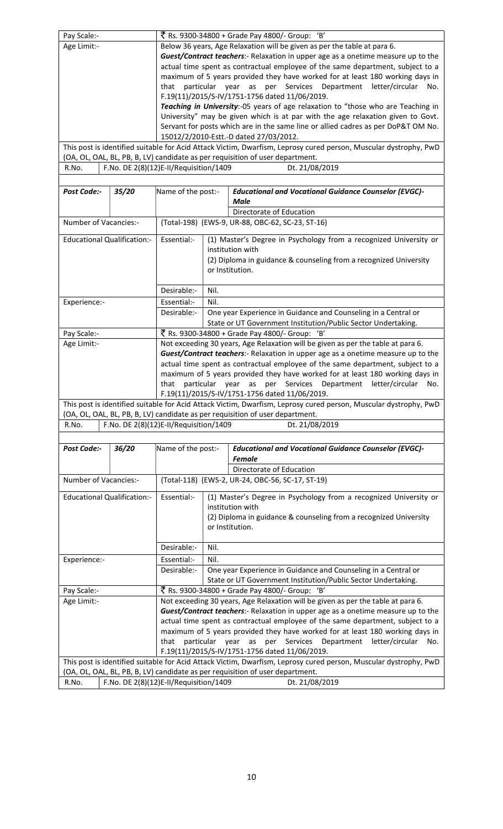| Pay Scale:-                        |       | ₹ Rs. 9300-34800 + Grade Pay 4800/- Group: 'B'                                                                                                                                                    |                                                                                                                                                                     |                                                                                                                  |  |  |  |  |  |
|------------------------------------|-------|---------------------------------------------------------------------------------------------------------------------------------------------------------------------------------------------------|---------------------------------------------------------------------------------------------------------------------------------------------------------------------|------------------------------------------------------------------------------------------------------------------|--|--|--|--|--|
| Age Limit:-                        |       | Below 36 years, Age Relaxation will be given as per the table at para 6.                                                                                                                          |                                                                                                                                                                     |                                                                                                                  |  |  |  |  |  |
|                                    |       | Guest/Contract teachers:- Relaxation in upper age as a onetime measure up to the                                                                                                                  |                                                                                                                                                                     |                                                                                                                  |  |  |  |  |  |
|                                    |       | actual time spent as contractual employee of the same department, subject to a                                                                                                                    |                                                                                                                                                                     |                                                                                                                  |  |  |  |  |  |
|                                    |       | maximum of 5 years provided they have worked for at least 180 working days in                                                                                                                     |                                                                                                                                                                     |                                                                                                                  |  |  |  |  |  |
|                                    |       | particular year as per Services Department letter/circular<br>that<br>No.                                                                                                                         |                                                                                                                                                                     |                                                                                                                  |  |  |  |  |  |
|                                    |       | F.19(11)/2015/S-IV/1751-1756 dated 11/06/2019.                                                                                                                                                    |                                                                                                                                                                     |                                                                                                                  |  |  |  |  |  |
|                                    |       |                                                                                                                                                                                                   | Teaching in University:-05 years of age relaxation to "those who are Teaching in<br>University" may be given which is at par with the age relaxation given to Govt. |                                                                                                                  |  |  |  |  |  |
|                                    |       |                                                                                                                                                                                                   |                                                                                                                                                                     | Servant for posts which are in the same line or allied cadres as per DoP&T OM No.                                |  |  |  |  |  |
|                                    |       |                                                                                                                                                                                                   |                                                                                                                                                                     | 15012/2/2010-Estt.-D dated 27/03/2012.                                                                           |  |  |  |  |  |
|                                    |       | This post is identified suitable for Acid Attack Victim, Dwarfism, Leprosy cured person, Muscular dystrophy, PwD<br>(OA, OL, OAL, BL, PB, B, LV) candidate as per requisition of user department. |                                                                                                                                                                     |                                                                                                                  |  |  |  |  |  |
| R.No.                              |       | F.No. DE 2(8)(12)E-II/Requisition/1409                                                                                                                                                            |                                                                                                                                                                     | Dt. 21/08/2019                                                                                                   |  |  |  |  |  |
|                                    |       |                                                                                                                                                                                                   |                                                                                                                                                                     |                                                                                                                  |  |  |  |  |  |
| Post Code:-                        | 35/20 | Name of the post:-                                                                                                                                                                                |                                                                                                                                                                     | <b>Educational and Vocational Guidance Counselor (EVGC)-</b>                                                     |  |  |  |  |  |
|                                    |       |                                                                                                                                                                                                   |                                                                                                                                                                     | Male                                                                                                             |  |  |  |  |  |
|                                    |       |                                                                                                                                                                                                   |                                                                                                                                                                     | Directorate of Education                                                                                         |  |  |  |  |  |
| Number of Vacancies:-              |       |                                                                                                                                                                                                   |                                                                                                                                                                     | (Total-198) (EWS-9, UR-88, OBC-62, SC-23, ST-16)                                                                 |  |  |  |  |  |
|                                    |       |                                                                                                                                                                                                   |                                                                                                                                                                     |                                                                                                                  |  |  |  |  |  |
| <b>Educational Qualification:-</b> |       | Essential:-                                                                                                                                                                                       |                                                                                                                                                                     | (1) Master's Degree in Psychology from a recognized University or                                                |  |  |  |  |  |
|                                    |       |                                                                                                                                                                                                   |                                                                                                                                                                     | institution with                                                                                                 |  |  |  |  |  |
|                                    |       |                                                                                                                                                                                                   |                                                                                                                                                                     | (2) Diploma in guidance & counseling from a recognized University<br>or Institution.                             |  |  |  |  |  |
|                                    |       |                                                                                                                                                                                                   |                                                                                                                                                                     |                                                                                                                  |  |  |  |  |  |
|                                    |       | Desirable:-                                                                                                                                                                                       | Nil.                                                                                                                                                                |                                                                                                                  |  |  |  |  |  |
| Experience:-                       |       | Essential:-                                                                                                                                                                                       | Nil.                                                                                                                                                                |                                                                                                                  |  |  |  |  |  |
|                                    |       | Desirable:-                                                                                                                                                                                       |                                                                                                                                                                     | One year Experience in Guidance and Counseling in a Central or                                                   |  |  |  |  |  |
|                                    |       |                                                                                                                                                                                                   |                                                                                                                                                                     | State or UT Government Institution/Public Sector Undertaking.                                                    |  |  |  |  |  |
| Pay Scale:-                        |       | ₹ Rs. 9300-34800 + Grade Pay 4800/- Group: 'B'                                                                                                                                                    |                                                                                                                                                                     |                                                                                                                  |  |  |  |  |  |
| Age Limit:-                        |       | Not exceeding 30 years, Age Relaxation will be given as per the table at para 6.                                                                                                                  |                                                                                                                                                                     |                                                                                                                  |  |  |  |  |  |
|                                    |       | Guest/Contract teachers:- Relaxation in upper age as a onetime measure up to the                                                                                                                  |                                                                                                                                                                     |                                                                                                                  |  |  |  |  |  |
|                                    |       | actual time spent as contractual employee of the same department, subject to a                                                                                                                    |                                                                                                                                                                     |                                                                                                                  |  |  |  |  |  |
|                                    |       | maximum of 5 years provided they have worked for at least 180 working days in                                                                                                                     |                                                                                                                                                                     |                                                                                                                  |  |  |  |  |  |
|                                    |       | particular year<br>as per<br>Services<br>that<br>Department letter/circular<br>No.<br>F.19(11)/2015/S-IV/1751-1756 dated 11/06/2019.                                                              |                                                                                                                                                                     |                                                                                                                  |  |  |  |  |  |
|                                    |       |                                                                                                                                                                                                   |                                                                                                                                                                     | This post is identified suitable for Acid Attack Victim, Dwarfism, Leprosy cured person, Muscular dystrophy, PwD |  |  |  |  |  |
|                                    |       | (OA, OL, OAL, BL, PB, B, LV) candidate as per requisition of user department.                                                                                                                     |                                                                                                                                                                     |                                                                                                                  |  |  |  |  |  |
| R.No.                              |       |                                                                                                                                                                                                   | F.No. DE 2(8)(12)E-II/Requisition/1409<br>Dt. 21/08/2019                                                                                                            |                                                                                                                  |  |  |  |  |  |
|                                    |       |                                                                                                                                                                                                   |                                                                                                                                                                     |                                                                                                                  |  |  |  |  |  |
| Post Code:-                        | 36/20 | Name of the post:-                                                                                                                                                                                |                                                                                                                                                                     | <b>Educational and Vocational Guidance Counselor (EVGC)-</b>                                                     |  |  |  |  |  |
|                                    |       |                                                                                                                                                                                                   |                                                                                                                                                                     | <b>Female</b>                                                                                                    |  |  |  |  |  |
|                                    |       |                                                                                                                                                                                                   |                                                                                                                                                                     | Directorate of Education                                                                                         |  |  |  |  |  |
| Number of Vacancies:-              |       | (Total-118) (EWS-2, UR-24, OBC-56, SC-17, ST-19)                                                                                                                                                  |                                                                                                                                                                     |                                                                                                                  |  |  |  |  |  |
| <b>Educational Qualification:-</b> |       |                                                                                                                                                                                                   |                                                                                                                                                                     |                                                                                                                  |  |  |  |  |  |
|                                    |       | Essential:-<br>(1) Master's Degree in Psychology from a recognized University or                                                                                                                  |                                                                                                                                                                     |                                                                                                                  |  |  |  |  |  |
|                                    |       | institution with<br>(2) Diploma in guidance & counseling from a recognized University                                                                                                             |                                                                                                                                                                     |                                                                                                                  |  |  |  |  |  |
|                                    |       |                                                                                                                                                                                                   |                                                                                                                                                                     | or Institution.                                                                                                  |  |  |  |  |  |
|                                    |       |                                                                                                                                                                                                   |                                                                                                                                                                     |                                                                                                                  |  |  |  |  |  |
|                                    |       | Desirable:-                                                                                                                                                                                       | Nil.                                                                                                                                                                |                                                                                                                  |  |  |  |  |  |
| Experience:-                       |       | Essential:-                                                                                                                                                                                       | Nil.                                                                                                                                                                |                                                                                                                  |  |  |  |  |  |
|                                    |       | Desirable:-                                                                                                                                                                                       | One year Experience in Guidance and Counseling in a Central or                                                                                                      |                                                                                                                  |  |  |  |  |  |
|                                    |       | State or UT Government Institution/Public Sector Undertaking.                                                                                                                                     |                                                                                                                                                                     |                                                                                                                  |  |  |  |  |  |
| Pay Scale:-                        |       | ₹ Rs. 9300-34800 + Grade Pay 4800/- Group: 'B'                                                                                                                                                    |                                                                                                                                                                     |                                                                                                                  |  |  |  |  |  |
| Age Limit:-                        |       | Not exceeding 30 years, Age Relaxation will be given as per the table at para 6.                                                                                                                  |                                                                                                                                                                     |                                                                                                                  |  |  |  |  |  |
|                                    |       | Guest/Contract teachers:- Relaxation in upper age as a onetime measure up to the                                                                                                                  |                                                                                                                                                                     |                                                                                                                  |  |  |  |  |  |
|                                    |       |                                                                                                                                                                                                   |                                                                                                                                                                     | actual time spent as contractual employee of the same department, subject to a                                   |  |  |  |  |  |
|                                    |       | maximum of 5 years provided they have worked for at least 180 working days in                                                                                                                     |                                                                                                                                                                     |                                                                                                                  |  |  |  |  |  |
|                                    |       | as per Services<br>Department<br>particular year<br>letter/circular<br>that<br>No.<br>F.19(11)/2015/S-IV/1751-1756 dated 11/06/2019.                                                              |                                                                                                                                                                     |                                                                                                                  |  |  |  |  |  |
|                                    |       |                                                                                                                                                                                                   |                                                                                                                                                                     | This post is identified suitable for Acid Attack Victim, Dwarfism, Leprosy cured person, Muscular dystrophy, PwD |  |  |  |  |  |
|                                    |       |                                                                                                                                                                                                   |                                                                                                                                                                     | (OA, OL, OAL, BL, PB, B, LV) candidate as per requisition of user department.                                    |  |  |  |  |  |
| R.No.                              |       | F.No. DE 2(8)(12)E-II/Requisition/1409<br>Dt. 21/08/2019                                                                                                                                          |                                                                                                                                                                     |                                                                                                                  |  |  |  |  |  |
|                                    |       |                                                                                                                                                                                                   |                                                                                                                                                                     |                                                                                                                  |  |  |  |  |  |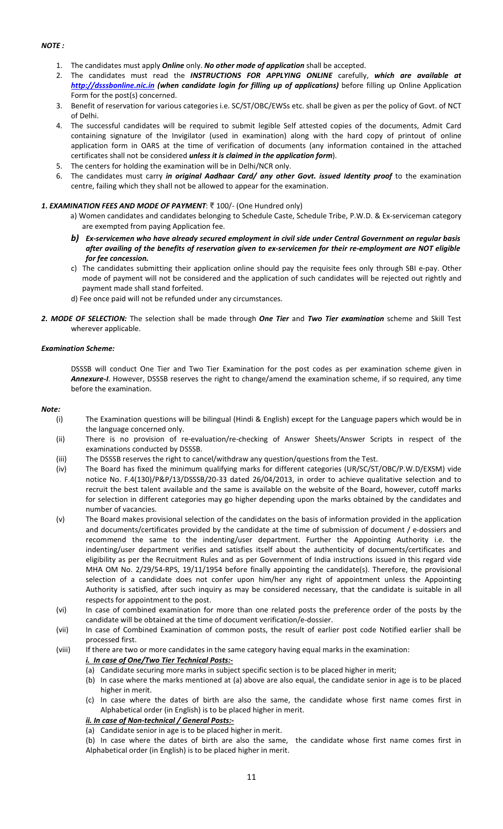## NOTE :

- 1. The candidates must apply **Online** only. No other mode of application shall be accepted.
- 2. The candidates must read the INSTRUCTIONS FOR APPLYING ONLINE carefully, which are available at http://dsssbonline.nic.in (when candidate login for filling up of applications) before filling up Online Application Form for the post(s) concerned.
- 3. Benefit of reservation for various categories i.e. SC/ST/OBC/EWSs etc. shall be given as per the policy of Govt. of NCT of Delhi.
- 4. The successful candidates will be required to submit legible Self attested copies of the documents, Admit Card containing signature of the Invigilator (used in examination) along with the hard copy of printout of online application form in OARS at the time of verification of documents (any information contained in the attached certificates shall not be considered unless it is claimed in the application form).
- 5. The centers for holding the examination will be in Delhi/NCR only.
- 6. The candidates must carry in original Aadhaar Card/ any other Govt. issued Identity proof to the examination centre, failing which they shall not be allowed to appear for the examination.

### 1. EXAMINATION FEES AND MODE OF PAYMENT: ₹ 100/- (One Hundred only)

- a) Women candidates and candidates belonging to Schedule Caste, Schedule Tribe, P.W.D. & Ex-serviceman category are exempted from paying Application fee.
- b) Ex-servicemen who have already secured employment in civil side under Central Government on regular basis after availing of the benefits of reservation given to ex-servicemen for their re-employment are NOT eligible for fee concession.
- c) The candidates submitting their application online should pay the requisite fees only through SBI e-pay. Other mode of payment will not be considered and the application of such candidates will be rejected out rightly and payment made shall stand forfeited.
- d) Fee once paid will not be refunded under any circumstances.
- 2. MODE OF SELECTION: The selection shall be made through One Tier and Two Tier examination scheme and Skill Test wherever applicable.

### Examination Scheme:

DSSSB will conduct One Tier and Two Tier Examination for the post codes as per examination scheme given in Annexure-I. However, DSSSB reserves the right to change/amend the examination scheme, if so required, any time before the examination.

#### Note:

- (i) The Examination questions will be bilingual (Hindi & English) except for the Language papers which would be in the language concerned only.
- (ii) There is no provision of re-evaluation/re-checking of Answer Sheets/Answer Scripts in respect of the examinations conducted by DSSSB.
- (iii) The DSSSB reserves the right to cancel/withdraw any question/questions from the Test.
- (iv) The Board has fixed the minimum qualifying marks for different categories (UR/SC/ST/OBC/P.W.D/EXSM) vide notice No. F.4(130)/P&P/13/DSSSB/20-33 dated 26/04/2013, in order to achieve qualitative selection and to recruit the best talent available and the same is available on the website of the Board, however, cutoff marks for selection in different categories may go higher depending upon the marks obtained by the candidates and number of vacancies.
- (v) The Board makes provisional selection of the candidates on the basis of information provided in the application and documents/certificates provided by the candidate at the time of submission of document / e-dossiers and recommend the same to the indenting/user department. Further the Appointing Authority i.e. the indenting/user department verifies and satisfies itself about the authenticity of documents/certificates and eligibility as per the Recruitment Rules and as per Government of India instructions issued in this regard vide MHA OM No. 2/29/54-RPS, 19/11/1954 before finally appointing the candidate(s). Therefore, the provisional selection of a candidate does not confer upon him/her any right of appointment unless the Appointing Authority is satisfied, after such inquiry as may be considered necessary, that the candidate is suitable in all respects for appointment to the post.
- (vi) In case of combined examination for more than one related posts the preference order of the posts by the candidate will be obtained at the time of document verification/e-dossier.
- (vii) In case of Combined Examination of common posts, the result of earlier post code Notified earlier shall be processed first.
- (viii) If there are two or more candidates in the same category having equal marks in the examination: i. In case of One/Two Tier Technical Posts:-
	- (a) Candidate securing more marks in subject specific section is to be placed higher in merit;
	- (b) In case where the marks mentioned at (a) above are also equal, the candidate senior in age is to be placed higher in merit.
	- (c) In case where the dates of birth are also the same, the candidate whose first name comes first in Alphabetical order (in English) is to be placed higher in merit.

## ii. In case of Non-technical / General Posts:-

(a) Candidate senior in age is to be placed higher in merit.

(b) In case where the dates of birth are also the same, the candidate whose first name comes first in Alphabetical order (in English) is to be placed higher in merit.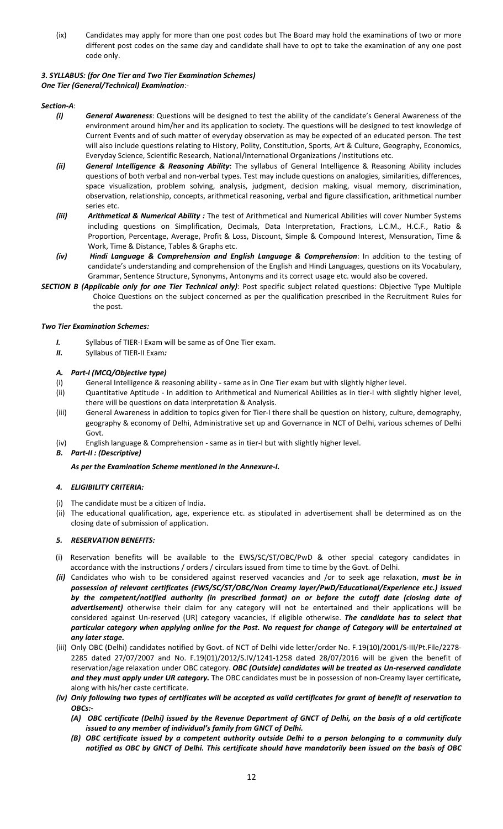(ix) Candidates may apply for more than one post codes but The Board may hold the examinations of two or more different post codes on the same day and candidate shall have to opt to take the examination of any one post code only.

# 3. SYLLABUS: (for One Tier and Two Tier Examination Schemes)

One Tier (General/Technical) Examination:-

## Section-A:

- (i) General Awareness: Questions will be designed to test the ability of the candidate's General Awareness of the environment around him/her and its application to society. The questions will be designed to test knowledge of Current Events and of such matter of everyday observation as may be expected of an educated person. The test will also include questions relating to History, Polity, Constitution, Sports, Art & Culture, Geography, Economics, Everyday Science, Scientific Research, National/International Organizations /Institutions etc.
- (ii) General Intelligence & Reasoning Ability: The syllabus of General Intelligence & Reasoning Ability includes questions of both verbal and non-verbal types. Test may include questions on analogies, similarities, differences, space visualization, problem solving, analysis, judgment, decision making, visual memory, discrimination, observation, relationship, concepts, arithmetical reasoning, verbal and figure classification, arithmetical number series etc.
- (iii) Arithmetical & Numerical Ability : The test of Arithmetical and Numerical Abilities will cover Number Systems including questions on Simplification, Decimals, Data Interpretation, Fractions, L.C.M., H.C.F., Ratio & Proportion, Percentage, Average, Profit & Loss, Discount, Simple & Compound Interest, Mensuration, Time & Work, Time & Distance, Tables & Graphs etc.
- (iv) Hindi Language & Comprehension and English Language & Comprehension: In addition to the testing of candidate's understanding and comprehension of the English and Hindi Languages, questions on its Vocabulary, Grammar, Sentence Structure, Synonyms, Antonyms and its correct usage etc. would also be covered.
- SECTION B (Applicable only for one Tier Technical only): Post specific subject related questions: Objective Type Multiple Choice Questions on the subject concerned as per the qualification prescribed in the Recruitment Rules for the post.

## Two Tier Examination Schemes:

- I. Syllabus of TIER-I Exam will be same as of One Tier exam.
- II. Syllabus of TIER-II Exam:

## A. Part-I (MCQ/Objective type)

- (i) General Intelligence & reasoning ability same as in One Tier exam but with slightly higher level.
- (ii) Quantitative Aptitude In addition to Arithmetical and Numerical Abilities as in tier-I with slightly higher level, there will be questions on data interpretation & Analysis.
- (iii) General Awareness in addition to topics given for Tier-I there shall be question on history, culture, demography, geography & economy of Delhi, Administrative set up and Governance in NCT of Delhi, various schemes of Delhi Govt.
- (iv) English language & Comprehension same as in tier-I but with slightly higher level.
- B. Part-II : (Descriptive)

As per the Examination Scheme mentioned in the Annexure-I.

## 4. ELIGIBILITY CRITERIA:

- (i) The candidate must be a citizen of India.
- (ii) The educational qualification, age, experience etc. as stipulated in advertisement shall be determined as on the closing date of submission of application.

## 5. RESERVATION BENEFITS:

- (i) Reservation benefits will be available to the EWS/SC/ST/OBC/PwD & other special category candidates in accordance with the instructions / orders / circulars issued from time to time by the Govt. of Delhi.
- (ii) Candidates who wish to be considered against reserved vacancies and /or to seek age relaxation, must be in possession of relevant certificates (EWS/SC/ST/OBC/Non Creamy layer/PwD/Educational/Experience etc.) issued by the competent/notified authority (in prescribed format) on or before the cutoff date (closing date of advertisement) otherwise their claim for any category will not be entertained and their applications will be considered against Un-reserved (UR) category vacancies, if eligible otherwise. The candidate has to select that particular category when applying online for the Post. No request for change of Category will be entertained at any later stage.
- (iii) Only OBC (Delhi) candidates notified by Govt. of NCT of Delhi vide letter/order No. F.19(10)/2001/S-III/Pt.File/2278- 2285 dated 27/07/2007 and No. F.19(01)/2012/S.IV/1241-1258 dated 28/07/2016 will be given the benefit of reservation/age relaxation under OBC category. OBC (Outside) candidates will be treated as Un-reserved candidate and they must apply under UR category. The OBC candidates must be in possession of non-Creamy layer certificate, along with his/her caste certificate.
- (iv) Only following two types of certificates will be accepted as valid certificates for grant of benefit of reservation to OBCs:-
	- (A) OBC certificate (Delhi) issued by the Revenue Department of GNCT of Delhi, on the basis of a old certificate issued to any member of individual's family from GNCT of Delhi.
	- (B) OBC certificate issued by a competent authority outside Delhi to a person belonging to a community duly notified as OBC by GNCT of Delhi. This certificate should have mandatorily been issued on the basis of OBC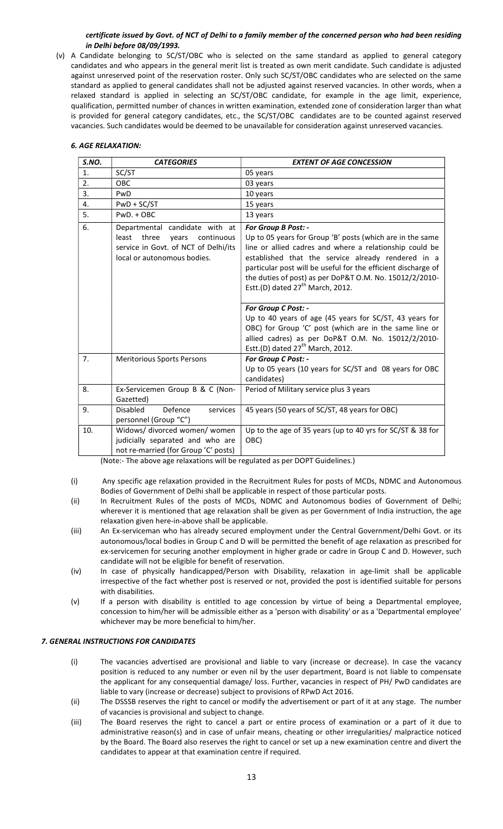### certificate issued by Govt. of NCT of Delhi to a family member of the concerned person who had been residing in Delhi before 08/09/1993.

(v) A Candidate belonging to SC/ST/OBC who is selected on the same standard as applied to general category candidates and who appears in the general merit list is treated as own merit candidate. Such candidate is adjusted against unreserved point of the reservation roster. Only such SC/ST/OBC candidates who are selected on the same standard as applied to general candidates shall not be adjusted against reserved vacancies. In other words, when a relaxed standard is applied in selecting an SC/ST/OBC candidate, for example in the age limit, experience, qualification, permitted number of chances in written examination, extended zone of consideration larger than what is provided for general category candidates, etc., the SC/ST/OBC candidates are to be counted against reserved vacancies. Such candidates would be deemed to be unavailable for consideration against unreserved vacancies.

|  | 6. AGE RELAXATION: |
|--|--------------------|
|  |                    |

| S.NO. | <b>CATEGORIES</b>                                                                                                                              | <b>EXTENT OF AGE CONCESSION</b>                                                                                                                                                                                                                                                                                                                                     |
|-------|------------------------------------------------------------------------------------------------------------------------------------------------|---------------------------------------------------------------------------------------------------------------------------------------------------------------------------------------------------------------------------------------------------------------------------------------------------------------------------------------------------------------------|
| 1.    | SC/ST                                                                                                                                          | 05 years                                                                                                                                                                                                                                                                                                                                                            |
| 2.    | OBC                                                                                                                                            | 03 years                                                                                                                                                                                                                                                                                                                                                            |
| 3.    | PwD                                                                                                                                            | 10 years                                                                                                                                                                                                                                                                                                                                                            |
| 4.    | $PWD + SC/ST$                                                                                                                                  | 15 years                                                                                                                                                                                                                                                                                                                                                            |
| 5.    | $PWD.+OBC$                                                                                                                                     | 13 years                                                                                                                                                                                                                                                                                                                                                            |
| 6.    | Departmental candidate with at<br>least<br>three<br>continuous<br>vears<br>service in Govt. of NCT of Delhi/its<br>local or autonomous bodies. | For Group B Post: -<br>Up to 05 years for Group 'B' posts (which are in the same<br>line or allied cadres and where a relationship could be<br>established that the service already rendered in a<br>particular post will be useful for the efficient discharge of<br>the duties of post) as per DoP&T O.M. No. 15012/2/2010-<br>Estt.(D) dated $27th$ March, 2012. |
|       |                                                                                                                                                | For Group C Post: -<br>Up to 40 years of age (45 years for SC/ST, 43 years for<br>OBC) for Group 'C' post (which are in the same line or<br>allied cadres) as per DoP&T O.M. No. 15012/2/2010-<br>Estt.(D) dated 27 <sup>th</sup> March, 2012.                                                                                                                      |
| 7.    | <b>Meritorious Sports Persons</b>                                                                                                              | For Group C Post: -                                                                                                                                                                                                                                                                                                                                                 |
|       |                                                                                                                                                | Up to 05 years (10 years for SC/ST and 08 years for OBC<br>candidates)                                                                                                                                                                                                                                                                                              |
| 8.    | Ex-Servicemen Group B & C (Non-<br>Gazetted)                                                                                                   | Period of Military service plus 3 years                                                                                                                                                                                                                                                                                                                             |
| 9.    | <b>Disabled</b><br>Defence<br>services<br>personnel (Group "C")                                                                                | 45 years (50 years of SC/ST, 48 years for OBC)                                                                                                                                                                                                                                                                                                                      |
| 10.   | Widows/ divorced women/ women<br>judicially separated and who are<br>not re-married (for Group 'C' posts)                                      | Up to the age of 35 years (up to 40 yrs for SC/ST & 38 for<br>OBC)                                                                                                                                                                                                                                                                                                  |

(Note:- The above age relaxations will be regulated as per DOPT Guidelines.)

- (i) Any specific age relaxation provided in the Recruitment Rules for posts of MCDs, NDMC and Autonomous Bodies of Government of Delhi shall be applicable in respect of those particular posts.
- (ii) In Recruitment Rules of the posts of MCDs, NDMC and Autonomous bodies of Government of Delhi; wherever it is mentioned that age relaxation shall be given as per Government of India instruction, the age relaxation given here-in-above shall be applicable.
- (iii) An Ex-serviceman who has already secured employment under the Central Government/Delhi Govt. or its autonomous/local bodies in Group C and D will be permitted the benefit of age relaxation as prescribed for ex-servicemen for securing another employment in higher grade or cadre in Group C and D. However, such candidate will not be eligible for benefit of reservation.
- (iv) In case of physically handicapped/Person with Disability, relaxation in age-limit shall be applicable irrespective of the fact whether post is reserved or not, provided the post is identified suitable for persons with disabilities.
- (v) If a person with disability is entitled to age concession by virtue of being a Departmental employee, concession to him/her will be admissible either as a 'person with disability' or as a 'Departmental employee' whichever may be more beneficial to him/her.

## 7. GENERAL INSTRUCTIONS FOR CANDIDATES

- (i) The vacancies advertised are provisional and liable to vary (increase or decrease). In case the vacancy position is reduced to any number or even nil by the user department, Board is not liable to compensate the applicant for any consequential damage/ loss. Further, vacancies in respect of PH/ PwD candidates are liable to vary (increase or decrease) subject to provisions of RPwD Act 2016.
- (ii) The DSSSB reserves the right to cancel or modify the advertisement or part of it at any stage. The number of vacancies is provisional and subject to change.
- (iii) The Board reserves the right to cancel a part or entire process of examination or a part of it due to administrative reason(s) and in case of unfair means, cheating or other irregularities/ malpractice noticed by the Board. The Board also reserves the right to cancel or set up a new examination centre and divert the candidates to appear at that examination centre if required.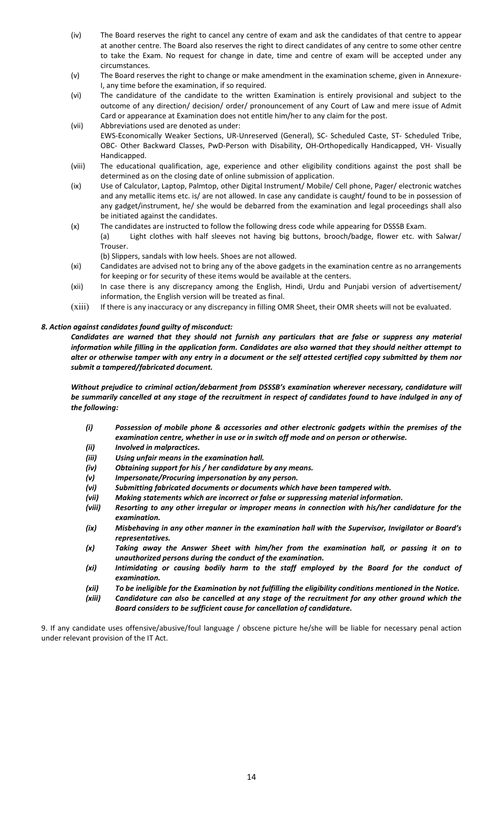- (iv) The Board reserves the right to cancel any centre of exam and ask the candidates of that centre to appear at another centre. The Board also reserves the right to direct candidates of any centre to some other centre to take the Exam. No request for change in date, time and centre of exam will be accepted under any circumstances.
- (v) The Board reserves the right to change or make amendment in the examination scheme, given in Annexure-I, any time before the examination, if so required.
- (vi) The candidature of the candidate to the written Examination is entirely provisional and subject to the outcome of any direction/ decision/ order/ pronouncement of any Court of Law and mere issue of Admit Card or appearance at Examination does not entitle him/her to any claim for the post.
- (vii) Abbreviations used are denoted as under: EWS-Economically Weaker Sections, UR-Unreserved (General), SC- Scheduled Caste, ST- Scheduled Tribe, OBC- Other Backward Classes, PwD-Person with Disability, OH-Orthopedically Handicapped, VH- Visually Handicapped.
- (viii) The educational qualification, age, experience and other eligibility conditions against the post shall be determined as on the closing date of online submission of application.
- (ix) Use of Calculator, Laptop, Palmtop, other Digital Instrument/ Mobile/ Cell phone, Pager/ electronic watches and any metallic items etc. is/ are not allowed. In case any candidate is caught/ found to be in possession of any gadget/instrument, he/ she would be debarred from the examination and legal proceedings shall also be initiated against the candidates.
- (x) The candidates are instructed to follow the following dress code while appearing for DSSSB Exam. (a) Light clothes with half sleeves not having big buttons, brooch/badge, flower etc. with Salwar/ Trouser.

(b) Slippers, sandals with low heels. Shoes are not allowed.

- (xi) Candidates are advised not to bring any of the above gadgets in the examination centre as no arrangements for keeping or for security of these items would be available at the centers.
- (xii) In case there is any discrepancy among the English, Hindi, Urdu and Punjabi version of advertisement/ information, the English version will be treated as final.
- (xiii) If there is any inaccuracy or any discrepancy in filling OMR Sheet, their OMR sheets will not be evaluated.

## 8. Action against candidates found guilty of misconduct:

Candidates are warned that they should not furnish any particulars that are false or suppress any material information while filling in the application form. Candidates are also warned that they should neither attempt to alter or otherwise tamper with any entry in a document or the self attested certified copy submitted by them nor submit a tampered/fabricated document.

Without prejudice to criminal action/debarment from DSSSB's examination wherever necessary, candidature will be summarily cancelled at any stage of the recruitment in respect of candidates found to have indulged in any of the following:

- (i) Possession of mobile phone & accessories and other electronic gadgets within the premises of the examination centre, whether in use or in switch off mode and on person or otherwise.
- (ii) Involved in malpractices.
- (iii) Using unfair means in the examination hall.
- (iv) Obtaining support for his / her candidature by any means.
- (v) Impersonate/Procuring impersonation by any person.
- (vi) Submitting fabricated documents or documents which have been tampered with.
- (vii) Making statements which are incorrect or false or suppressing material information. (viii) Resorting to any other irregular or improper means in connection with his/her candidature for the examination.
- (ix) Misbehaving in any other manner in the examination hall with the Supervisor, Invigilator or Board's representatives.
- (x) Taking away the Answer Sheet with him/her from the examination hall, or passing it on to unauthorized persons during the conduct of the examination.
- (xi) Intimidating or causing bodily harm to the staff employed by the Board for the conduct of examination.
- (xii) To be ineligible for the Examination by not fulfilling the eligibility conditions mentioned in the Notice.
- (xiii) Candidature can also be cancelled at any stage of the recruitment for any other ground which the Board considers to be sufficient cause for cancellation of candidature.

9. If any candidate uses offensive/abusive/foul language / obscene picture he/she will be liable for necessary penal action under relevant provision of the IT Act.